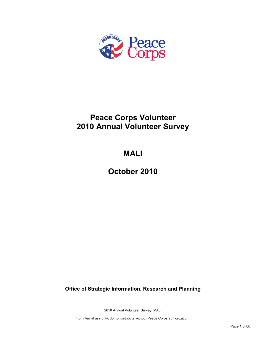

## **Peace Corps Volunteer 2010 Annual Volunteer Survey**

## **MALI**

**October 2010**

**Office of Strategic Information, Research and Planning**

2010 Annual Volunteer Survey: MALI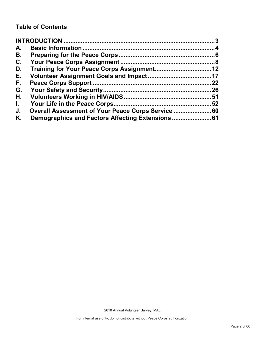## **Table of Contents**

| A.           |                                                |    |
|--------------|------------------------------------------------|----|
| В.           |                                                |    |
| C.           |                                                |    |
| D.           |                                                |    |
| Е.           |                                                |    |
| F.           |                                                | 22 |
| G.           |                                                |    |
| Η.           |                                                |    |
| $\mathbf{L}$ |                                                |    |
| J.           | Overall Assessment of Your Peace Corps Service |    |
| Κ.           |                                                |    |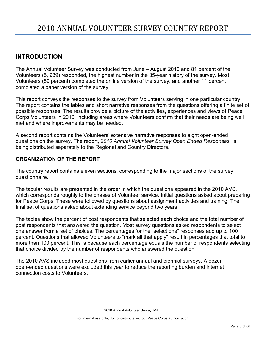## <span id="page-2-0"></span>**INTRODUCTION**

The Annual Volunteer Survey was conducted from June – August 2010 and 81 percent of the Volunteers (5, 239) responded, the highest number in the 35-year history of the survey. Most Volunteers (89 percent) completed the online version of the survey, and another 11 percent completed a paper version of the survey.

This report conveys the responses to the survey from Volunteers serving in one particular country. The report contains the tables and short narrative responses from the questions offering a finite set of possible responses. The results provide a picture of the activities, experiences and views of Peace Corps Volunteers in 2010, including areas where Volunteers confirm that their needs are being well met and where improvements may be needed.

A second report contains the Volunteers' extensive narrative responses to eight open-ended questions on the survey. The report, *2010 Annual Volunteer Survey Open Ended Responses,* is being distributed separately to the Regional and Country Directors.

## **ORGANIZATION OF THE REPORT**

The country report contains eleven sections, corresponding to the major sections of the survey questionnaire.

The tabular results are presented in the order in which the questions appeared in the 2010 AVS, which corresponds roughly to the phases of Volunteer service. Initial questions asked about preparing for Peace Corps. These were followed by questions about assignment activities and training. The final set of questions asked about extending service beyond two years.

The tables show the percent of post respondents that selected each choice and the total number of post respondents that answered the question. Most survey questions asked respondents to select one answer from a set of choices. The percentages for the "select one" responses add up to 100 percent. Questions that allowed Volunteers to "mark all that apply" result in percentages that total to more than 100 percent. This is because each percentage equals the number of respondents selecting that choice divided by the number of respondents who answered the question.

The 2010 AVS included most questions from earlier annual and biennial surveys. A dozen open-ended questions were excluded this year to reduce the reporting burden and internet connection costs to Volunteers.

2010 Annual Volunteer Survey: MALI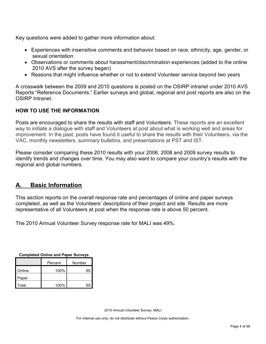Key questions were added to gather more information about:

- Experiences with insensitive comments and behavior based on race, ethnicity, age, gender, or sexual orientation
- Observations or comments about harassment/discrimination experiences (added to the online 2010 AVS after the survey began)
- Reasons that might influence whether or not to extend Volunteer service beyond two years

A crosswalk between the 2009 and 2010 questions is posted on the OSIRP intranet under 2010 AVS Reports "Reference Documents." Earlier surveys and global, regional and post reports are also on the OSIRP Intranet.

## **HOW TO USE THE INFORMATION**

Posts are encouraged to share the results with staff and Volunteers. These reports are an excellent way to initiate a dialogue with staff and Volunteers at post about what is working well and areas for improvement. In the past, posts have found it useful to share the results with their Volunteers, via the VAC, monthly newsletters, summary bulletins, and presentations at PST and IST.

Please consider comparing these 2010 results with your 2006, 2008 and 2009 survey results to identify trends and changes over time. You may also want to compare your country's results with the regional and global numbers.

## <span id="page-3-0"></span>**A. Basic Information**

This section reports on the overall response rate and percentages of online and paper surveys completed, as well as the Volunteers' descriptions of their project and site. Results are more representative of all Volunteers at post when the response rate is above 50 percent.

The 2010 Annual Volunteer Survey response rate for MALI was 49%.

| <b>Completed Online and Paper Surveys</b> |  |  |  |
|-------------------------------------------|--|--|--|
|                                           |  |  |  |

|        | Percent | Number |
|--------|---------|--------|
| Online | 100%    | 65     |
| Paper  |         |        |
| Total  | 100%    | 65     |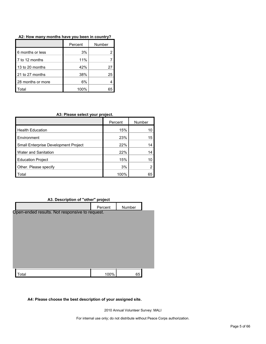|                   | Percent | Number |
|-------------------|---------|--------|
| 6 months or less  | 3%      |        |
| 7 to 12 months    | 11%     |        |
| 13 to 20 months   | 42%     | 27     |
| 21 to 27 months   | 38%     | 25     |
| 28 months or more | 6%      |        |
| Total             | 100%    |        |

#### **A2: How many months have you been in country?**

#### **A3: Please select your project.**

|                                             | Percent | Number |
|---------------------------------------------|---------|--------|
| <b>Health Education</b>                     | 15%     | 10     |
| Environment                                 | 23%     | 15     |
| <b>Small Enterprise Development Project</b> | 22%     | 14     |
| <b>Water and Sanitation</b>                 | 22%     | 14     |
| <b>Education Project</b>                    | 15%     | 10     |
| Other. Please specify                       | 3%      | 2      |
| ⊺otal                                       | 100%    | 65     |

#### **A3. Description of "other" project**

| = ••••••••••••••••••••••••••                   | . <b>.</b> |        |  |
|------------------------------------------------|------------|--------|--|
|                                                | Percent    | Number |  |
| Open-ended results. Not responsive to request. |            |        |  |
|                                                |            |        |  |
|                                                |            |        |  |
|                                                |            |        |  |
|                                                |            |        |  |
|                                                |            |        |  |
|                                                |            |        |  |
|                                                |            |        |  |
| Total                                          | 100%       | 65     |  |
|                                                |            |        |  |

#### **A4: Please choose the best description of your assigned site.**

2010 Annual Volunteer Survey: MALI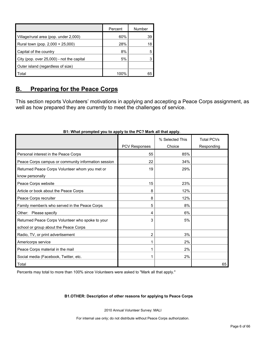|                                           | Percent | Number |
|-------------------------------------------|---------|--------|
| Village/rural area (pop. under 2,000)     | 60%     | 39     |
| Rural town (pop. 2,000 + 25,000)          | 28%     | 18     |
| Capital of the country                    | 8%      |        |
| City (pop. over 25,000) - not the capital | 5%      |        |
| Outer island (regardless of size)         |         |        |
| Total                                     | 100%    | 65     |

## <span id="page-5-0"></span>**B. Preparing for the Peace Corps**

This section reports Volunteers' motivations in applying and accepting a Peace Corps assignment, as well as how prepared they are currently to meet the challenges of service.

|                                                     |               | % Selected This | <b>Total PCVs</b> |
|-----------------------------------------------------|---------------|-----------------|-------------------|
|                                                     | PCV Responses | Choice          | Responding        |
| Personal interest in the Peace Corps                | 55            | 85%             |                   |
| Peace Corps campus or community information session | 22            | 34%             |                   |
| Returned Peace Corps Volunteer whom you met or      | 19            | 29%             |                   |
| know personally                                     |               |                 |                   |
| Peace Corps website                                 | 15            | 23%             |                   |
| Article or book about the Peace Corps               | 8             | 12%             |                   |
| Peace Corps recruiter                               | 8             | 12%             |                   |
| Family member/s who served in the Peace Corps       | 5             | 8%              |                   |
| Other: Please specify                               | 4             | 6%              |                   |
| Returned Peace Corps Volunteer who spoke to your    | 3             | 5%              |                   |
| school or group about the Peace Corps               |               |                 |                   |
| Radio, TV, or print advertisement                   | 2             | 3%              |                   |
| Americorps service                                  |               | 2%              |                   |
| Peace Corps material in the mail                    |               | 2%              |                   |
| Social media (Facebook, Twitter, etc.               |               | 2%              |                   |
| Total                                               |               |                 | 65                |

#### **B1: What prompted you to apply to the PC? Mark all that apply.**

Percents may total to more than 100% since Volunteers were asked to "Mark all that apply."

#### **B1.OTHER: Description of other reasons for applying to Peace Corps**

2010 Annual Volunteer Survey: MALI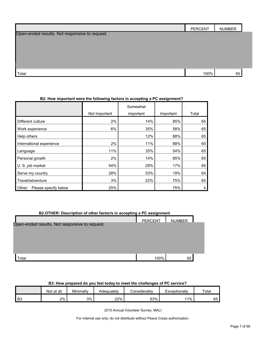|                                                | <b>PERCENT</b> | <b>NUMBER</b> |
|------------------------------------------------|----------------|---------------|
| Open-ended results. Not responsive to request. |                |               |
|                                                |                |               |
|                                                |                |               |
|                                                |                |               |
|                                                |                |               |
| Total                                          | 100%           | 65            |

#### **B2: How important were the following factors in accepting a PC assignment?**

|                                |               | Somewhat  |           |       |
|--------------------------------|---------------|-----------|-----------|-------|
|                                | Not Important | important | Important | Total |
| Different culture              | 2%            | 14%       | 85%       | 65    |
| Work experience                | 6%            | 35%       | 58%       | 65    |
| Help others                    |               | 12%       | 88%       | 65    |
| International experience       | $2\%$         | 11%       | 88%       | 65    |
| Language                       | 11%           | 35%       | 54%       | 65    |
| Personal growth                | 2%            | 14%       | 85%       | 65    |
| U. S. job market               | 54%           | 29%       | 17%       | 65    |
| Serve my country               | 28%           | 53%       | 19%       | 64    |
| Travel/adventure               | 3%            | 22%       | 75%       | 65    |
| Please specify below<br>Other: | 25%           |           | 75%       | 4     |

| B2.OTHER: Description of other factor/s in accepting a PC assignment |                |               |  |  |
|----------------------------------------------------------------------|----------------|---------------|--|--|
|                                                                      | <b>PFRCFNT</b> | <b>NUMBER</b> |  |  |
| Open-ended results. Not responsive to request.                       |                |               |  |  |
|                                                                      |                |               |  |  |
|                                                                      |                |               |  |  |
|                                                                      |                |               |  |  |
|                                                                      |                |               |  |  |
| ʻotal                                                                | 100%           | 65            |  |  |

#### **B3: How prepared do you feel today to meet the challenges of PC service?**

|          | Not at all | Minimally | Adeɑuatelv | considerably? | Exceptionally | Total |
|----------|------------|-----------|------------|---------------|---------------|-------|
| D0<br>ь٥ | 2%         | 3%        | 22%        | 63%           | 11%           | 65    |

2010 Annual Volunteer Survey: MALI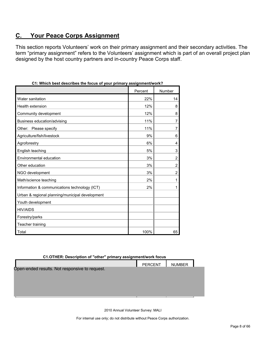## <span id="page-7-0"></span>**C. Your Peace Corps Assignment**

This section reports Volunteers' work on their primary assignment and their secondary activities. The term "primary assignment" refers to the Volunteers' assignment which is part of an overall project plan designed by the host country partners and in-country Peace Corps staff.

| , which best describes the locus of your primary assignment work : |         |                |
|--------------------------------------------------------------------|---------|----------------|
|                                                                    | Percent | Number         |
| Water sanitation                                                   | 22%     | 14             |
| Health extension                                                   | 12%     | 8              |
| Community development                                              | 12%     | 8              |
| Business education/advising                                        | 11%     | 7              |
| Other: Please specify                                              | 11%     | 7              |
| Agriculture/fish/livestock                                         | 9%      | 6              |
| Agroforestry                                                       | 6%      | 4              |
| English teaching                                                   | 5%      | 3              |
| Environmental education                                            | 3%      | $\overline{2}$ |
| Other education                                                    | 3%      | $\overline{2}$ |
| NGO development                                                    | 3%      | $\overline{2}$ |
| Math/science teaching                                              | 2%      | 1              |
| Information & communications technology (ICT)                      | 2%      |                |
| Urban & regional planning/municipal development                    |         |                |
| Youth development                                                  |         |                |
| <b>HIV/AIDS</b>                                                    |         |                |
| Forestry/parks                                                     |         |                |
| Teacher training                                                   |         |                |
| Total                                                              | 100%    | 65             |

| C1: Which best describes the focus of your primary assignment/work? |  |  |  |
|---------------------------------------------------------------------|--|--|--|
|                                                                     |  |  |  |

| C1.OTHER: Description of "other" primary assignment/work focus |                |               |  |  |  |
|----------------------------------------------------------------|----------------|---------------|--|--|--|
|                                                                | <b>PERCENT</b> | <b>NUMBER</b> |  |  |  |
| Open-ended results. Not responsive to request.                 |                |               |  |  |  |
|                                                                |                |               |  |  |  |
|                                                                |                |               |  |  |  |
|                                                                |                |               |  |  |  |
|                                                                |                |               |  |  |  |

2010 Annual Volunteer Survey: MALI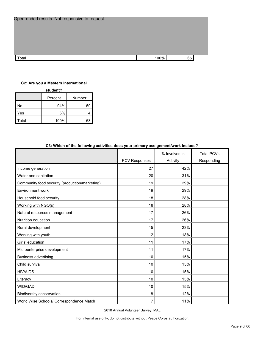| Open-ended results. Not responsive to request. |      |    |  |
|------------------------------------------------|------|----|--|
|                                                |      |    |  |
|                                                |      |    |  |
|                                                |      |    |  |
| Total                                          | 100% | 65 |  |

#### **C2: Are you a Masters International**

**student?**

|       | Percent | Number |  |  |  |
|-------|---------|--------|--|--|--|
| No    | 94%     | 59     |  |  |  |
| Yes   | 6%      |        |  |  |  |
| Total | 100%    | 63     |  |  |  |

| C3: which of the following activities does your primary assignment/work include? |               |               |                   |  |  |
|----------------------------------------------------------------------------------|---------------|---------------|-------------------|--|--|
|                                                                                  |               | % Involved in | <b>Total PCVs</b> |  |  |
|                                                                                  | PCV Responses | Activity      | Responding        |  |  |
| Income generation                                                                | 27            | 42%           |                   |  |  |
| Water and sanitation                                                             | 20            | 31%           |                   |  |  |
| Community food security (production/marketing)                                   | 19            | 29%           |                   |  |  |
| Environment work                                                                 | 19            | 29%           |                   |  |  |
| Household food security                                                          | 18            | 28%           |                   |  |  |
| Working with NGO(s)                                                              | 18            | 28%           |                   |  |  |
| Natural resources management                                                     | 17            | 26%           |                   |  |  |
| Nutrition education                                                              | 17            | 26%           |                   |  |  |
| Rural development                                                                | 15            | 23%           |                   |  |  |
| Working with youth                                                               | 12            | 18%           |                   |  |  |
| Girls' education                                                                 | 11            | 17%           |                   |  |  |
| Microenterprise development                                                      | 11            | 17%           |                   |  |  |
| <b>Business advertising</b>                                                      | 10            | 15%           |                   |  |  |
| Child survival                                                                   | 10            | 15%           |                   |  |  |
| <b>HIV/AIDS</b>                                                                  | 10            | 15%           |                   |  |  |
| Literacy                                                                         | 10            | 15%           |                   |  |  |
| WID/GAD                                                                          | 10            | 15%           |                   |  |  |
| Biodiversity conservation                                                        | 8             | 12%           |                   |  |  |
| World Wise Schools/ Correspondence Match                                         | 7             | 11%           |                   |  |  |

## **C3: Which of the following activities does your primary assignment/work include?**

2010 Annual Volunteer Survey: MALI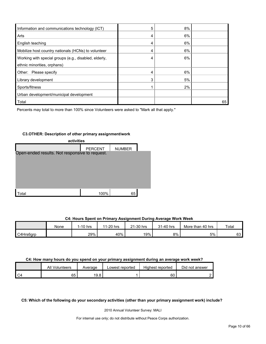| Information and communications technology (ICT)       | 5 | 8% |    |
|-------------------------------------------------------|---|----|----|
| Arts                                                  |   | 6% |    |
| English teaching                                      |   | 6% |    |
| Mobilize host country nationals (HCNs) to volunteer   | 4 | 6% |    |
| Working with special groups (e.g., disabled, elderly, |   | 6% |    |
| ethnic minorities, orphans)                           |   |    |    |
| Other: Please specify                                 |   | 6% |    |
| Library development                                   | 3 | 5% |    |
| Sports/fitness                                        |   | 2% |    |
| Urban development/municipal development               |   |    |    |
| Total                                                 |   |    | 65 |

Percents may total to more than 100% since Volunteers were asked to "Mark all that apply."

#### **C3.OTHER: Description of other primary assignment/work**

| activities                                     |                |               |  |  |  |
|------------------------------------------------|----------------|---------------|--|--|--|
|                                                | <b>PERCENT</b> | <b>NUMBER</b> |  |  |  |
| Open-ended results. Not responsive to request. |                |               |  |  |  |
|                                                |                |               |  |  |  |
|                                                |                |               |  |  |  |
|                                                |                |               |  |  |  |
|                                                |                |               |  |  |  |
|                                                |                |               |  |  |  |
| otal`                                          | 100%           | 65            |  |  |  |

#### **C4: Hours Spent on Primary Assignment During Average Work Week**

|           | None | 1-10 hrs | 1-20 hrs<br>11 | 21-30 hrs | 31-40 hrs | More than 40 hrs | Total |
|-----------|------|----------|----------------|-----------|-----------|------------------|-------|
| C4Hrs6grp |      | 29%      | 40%            | 19%       | 8%        | 5%               | 63    |

#### **C4: How many hours do you spend on your primary assignment during an average work week?**

|      | All<br>Volunteers | Average | Lowest reported | Highest reported | Did not answer |
|------|-------------------|---------|-----------------|------------------|----------------|
| I C4 | 65                | 19.8    |                 | 60               |                |

**C5: Which of the following do your secondary activities (other than your primary assignment work) include?**

2010 Annual Volunteer Survey: MALI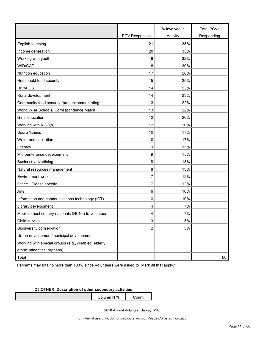|                                                       |                      | % Involved in | <b>Total PCVs</b> |
|-------------------------------------------------------|----------------------|---------------|-------------------|
|                                                       | <b>PCV Responses</b> | Activity      | Responding        |
| English teaching                                      | 21                   | 35%           |                   |
| Income generation                                     | 20                   | 33%           |                   |
| Working with youth                                    | 19                   | 32%           |                   |
| WID/GAD                                               | 18                   | 30%           |                   |
| Nutrition education                                   | 17                   | 28%           |                   |
| Household food security                               | 15                   | 25%           |                   |
| <b>HIV/AIDS</b>                                       | 14                   | 23%           |                   |
| Rural development                                     | 14                   | 23%           |                   |
| Community food security (production/marketing)        | 13                   | 22%           |                   |
| World Wise Schools/ Correspondence Match              | 13                   | 22%           |                   |
| Girls' education                                      | 12                   | 20%           |                   |
| Working with NGO(s)                                   | 12                   | 20%           |                   |
| Sports/fitness                                        | 10                   | 17%           |                   |
| Water and sanitation                                  | 10                   | 17%           |                   |
| Literacy                                              | 9                    | 15%           |                   |
| Microenterprise development                           | 9                    | 15%           |                   |
| <b>Business advertising</b>                           | 8                    | 13%           |                   |
| Natural resources management                          | 8                    | 13%           |                   |
| Environment work                                      | 7                    | 12%           |                   |
| Other: Please specify                                 | 7                    | 12%           |                   |
| Arts                                                  | 6                    | 10%           |                   |
| Information and communications technology (ICT)       | 6                    | 10%           |                   |
| Library development                                   | 4                    | 7%            |                   |
| Mobilize host country nationals (HCNs) to volunteer   | 4                    | 7%            |                   |
| Child survival                                        | 3                    | 5%            |                   |
| Biodiversity conservation                             | $\overline{2}$       | 3%            |                   |
| Urban development/municipal development               |                      |               |                   |
| Working with special groups (e.g., disabled, elderly, |                      |               |                   |
| ethnic minorities, orphans)                           |                      |               |                   |
| Total                                                 |                      |               | 60                |

Percents may total to more than 100% since Volunteers were asked to "Mark all that apply."

#### **C5.OTHER: Description of other secondary activities**

Column N % Count

2010 Annual Volunteer Survey: MALI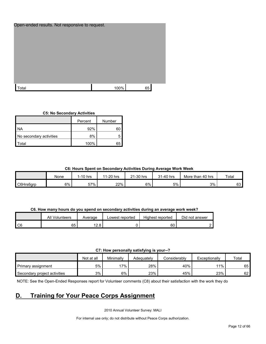| Open-ended results. Not responsive to request. |      |    |  |
|------------------------------------------------|------|----|--|
|                                                |      |    |  |
|                                                |      |    |  |
|                                                |      |    |  |
|                                                |      |    |  |
|                                                |      |    |  |
|                                                |      |    |  |
|                                                |      |    |  |
|                                                |      |    |  |
|                                                |      |    |  |
|                                                |      |    |  |
|                                                |      |    |  |
|                                                |      |    |  |
| <sup>-</sup> otal                              | 100% | 65 |  |
|                                                |      |    |  |

#### **C5: No Secondary Activities**

|                         | Number<br>Percent |    |  |
|-------------------------|-------------------|----|--|
| ΝA                      | 92%               | 60 |  |
| No secondary activities | 8%                |    |  |
| ʻotal                   | 100%              | 65 |  |

#### **C6: Hours Spent on Secondary Activities During Average Work Week**

|           | None | 1-10 hrs | 11-20 hrs | $21-30$ hrs | 31-40 hrs | More than 40 hrs | <b>Total</b> |
|-----------|------|----------|-----------|-------------|-----------|------------------|--------------|
| C6Hrs6grp | 6%   | 57%      | 22%       | 6%          | 5%        | 3%               | 63           |

#### **C6. How many hours do you spend on secondary activities during an average work week?**

|                | All Volunteers | Average     | Lowest reported | Highest reported | Did not answer |
|----------------|----------------|-------------|-----------------|------------------|----------------|
| C <sub>6</sub> | 65             | ە دە<br>2.0 |                 | 60               |                |

**C7: How personally satisfying is your--?**

|                              | Not at all | Minimally | Adeauatelv | Considerablv | Exceptionally | Total |
|------------------------------|------------|-----------|------------|--------------|---------------|-------|
| Primary assignment           | 5%         | 17%       | 28%        | 40%          | $11\%$ .      | 65    |
| Secondary project activities | 3%         | 6%        | 23%        | 45%          | 23%           | 62    |

NOTE: See the Open-Ended Responses report for Volunteer comments (C8) about their satisfaction with the work they do

## <span id="page-11-0"></span>**D. Training for Your Peace Corps Assignment**

2010 Annual Volunteer Survey: MALI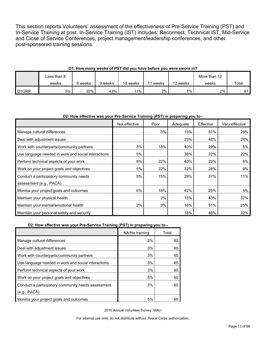This section reports Volunteers' assessment of the effectiveness of Pre-Service Training (PST) and In-Service Training at post. In-Service Training (IST) includes: Reconnect, Technical IST, Mid-Service and Close of Service Conferences, project management/leadership conferences, and other post-sponsored training sessions.

|                    | Less than 8 |         |         |          |       |          | More than 12 |       |
|--------------------|-------------|---------|---------|----------|-------|----------|--------------|-------|
|                    | weeks       | 8 weeks | 9 weeks | 10 weeks | weeks | 12 weeks | weeks        | Total |
| D <sub>1</sub> GRP | 5%          | 30%     | 43%     | $11\%$   | 3%    | ᅍ.       | 2%           | 61    |

#### **D1: How many weeks of PST did you have before you were sworn in?**

#### **D2: How effective was your Pre-Service Training (PST) in preparing you to--**

|                                                     | Not effective | Poor | Adequate | Effective | Very effective |
|-----------------------------------------------------|---------------|------|----------|-----------|----------------|
| Manage cultural differences                         |               | 3%   | 15%      | 51%       | 28%            |
| Deal with adjustment issues                         |               |      | 23%      | 48%       | 26%            |
| Work with counterparts/community partners           | 5%            | 18%  | 40%      | 29%       | 5%             |
| Use language needed in work and social interactions | 5%            |      | 38%      | 32%       | 22%            |
| Perform technical aspects of your work              | 8%            | 22%  | 40%      | 22%       | 6%             |
| Work on your project goals and objectives           | 5%            | 22%  | 32%      | 28%       | 9%             |
| Conduct a participatory community needs             | 5%            | 15%  | 29%      | 37%       | 11%            |
| assessment (e.g., PACA)                             |               |      |          |           |                |
| Monitor your project goals and outcomes             | 6%            | 18%  | 42%      | 25%       | 5%             |
| Maintain your physical health                       |               | 2%   | 15%      | 43%       | 37%            |
| Maintain your mental/emotional health               | 2%            | 3%   | 16%      | 51%       | 25%            |
| Maintain your personal safety and security          |               |      | 18%      | 46%       | 32%            |

#### **D2: How effective was your Pre-Service Training (PST) in preparing you to--**

|                                                     | NA/No training | Total |
|-----------------------------------------------------|----------------|-------|
| Manage cultural differences                         | 3%             | 65    |
| Deal with adjustment issues                         | 3%             | 65    |
| Work with counterparts/community partners           | 3%             | 65    |
| Use language needed in work and social interactions | 3%             | 65    |
| Perform technical aspects of your work              | 3%             | 65    |
| Work on your project goals and objectives           | 5%             | 65    |
| Conduct a participatory community needs assessment  | 3%             | 65    |
| (e.g., PACA)                                        |                |       |
| Monitor your project goals and outcomes             | 5%             | 65    |

2010 Annual Volunteer Survey: MALI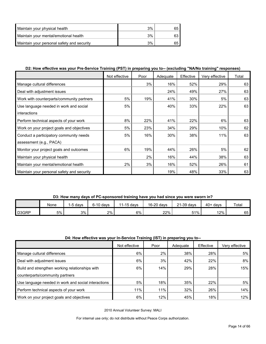| Maintain your physical health              | 3% |  |
|--------------------------------------------|----|--|
| Maintain your mental/emotional health      | 3% |  |
| Maintain your personal safety and security | 3% |  |

#### **D2: How effective was your Pre-Service Training (PST) in preparing you to-- (excluding "NA/No training" responses)**

|                                            | Not effective | Poor | Adequate | Effective | Very effective | Total |
|--------------------------------------------|---------------|------|----------|-----------|----------------|-------|
| Manage cultural differences                |               | 3%   | 16%      | 52%       | 29%            | 63    |
| Deal with adjustment issues                |               |      | 24%      | 49%       | 27%            | 63    |
| Work with counterparts/community partners  | 5%            | 19%  | 41%      | 30%       | 5%             | 63    |
| Use language needed in work and social     | 5%            |      | 40%      | 33%       | 22%            | 63    |
| interactions                               |               |      |          |           |                |       |
| Perform technical aspects of your work     | 8%            | 22%  | 41%      | 22%       | 6%             | 63    |
| Work on your project goals and objectives  | 5%            | 23%  | 34%      | 29%       | 10%            | 62    |
| Conduct a participatory community needs    | 5%            | 16%  | 30%      | 38%       | 11%            | 63    |
| assessment (e.g., PACA)                    |               |      |          |           |                |       |
| Monitor your project goals and outcomes    | 6%            | 19%  | 44%      | 26%       | 5%             | 62    |
| Maintain your physical health              |               | 2%   | 16%      | 44%       | 38%            | 63    |
| Maintain your mental/emotional health      | 2%            | 3%   | 16%      | 52%       | 26%            | 61    |
| Maintain your personal safety and security |               |      | 19%      | 48%       | 33%            | 63    |

#### **D3: How many days of PC-sponsored training have you had since you were sworn in?**

|       | None | 5 days<br>$-$ | $6-10$ days | 1-15 days<br>44 | 16-20 days | 21-39 days | $40+$<br>davs | Total |
|-------|------|---------------|-------------|-----------------|------------|------------|---------------|-------|
| D3GRP | 5%   | 3%            | 2%          | 6%              | 22%        | 51%        | 12%           | 65    |

#### **D4: How effective was your In-Service Training (IST) in preparing you to--**

|                                                     | Not effective | Poor | Adequate | Effective | Very effective |
|-----------------------------------------------------|---------------|------|----------|-----------|----------------|
| Manage cultural differences                         | 6%            | 2%   | 38%      | 28%       | 5%             |
| Deal with adjustment issues                         | 6%            | 3%   | 42%      | 22%       | 8%             |
| Build and strengthen working relationships with     | 6%            | 14%  | 29%      | 28%       | 15%            |
| counterparts/community partners                     |               |      |          |           |                |
| Use language needed in work and social interactions | 5%            | 18%  | 35%      | 22%       | 5%             |
| Perform technical aspects of your work              | 11%           | 11%  | 32%      | 26%       | 14%            |
| Work on your project goals and objectives           | 6%            | 12%  | 45%      | 18%       | 12%            |

2010 Annual Volunteer Survey: MALI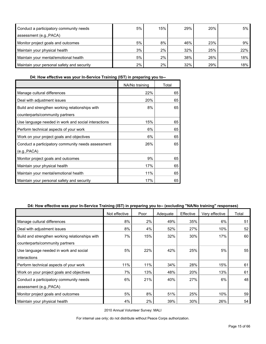| Conduct a participatory community needs    | 5%    | 15% | 29% | 20% | 5%  |
|--------------------------------------------|-------|-----|-----|-----|-----|
| assessment (e.g., PACA)                    |       |     |     |     |     |
| Monitor project goals and outcomes         | 5%    | 8%  | 46% | 23% | 9%  |
| Maintain your physical health              | 3%    | 2%  | 32% | 25% | 22% |
| Maintain your mental/emotional health      | 5%    | 2%  | 38% | 26% | 18% |
| Maintain your personal safety and security | $2\%$ | 2%  | 32% | 29% | 18% |

**D4: How effective was your In-Service Training (IST) in preparing you to--**

|                                                     | NA/No training | Total |
|-----------------------------------------------------|----------------|-------|
| Manage cultural differences                         | 22%            | 65    |
| Deal with adjustment issues                         | 20%            | 65    |
| Build and strengthen working relationships with     | 8%             | 65    |
| counterparts/community partners                     |                |       |
| Use language needed in work and social interactions | 15%            | 65    |
| Perform technical aspects of your work              | 6%             | 65    |
| Work on your project goals and objectives           | 6%             | 65    |
| Conduct a participatory community needs assessment  | 26%            | 65    |
| (e.g., PACA)                                        |                |       |
| Monitor project goals and outcomes                  | 9%             | 65    |
| Maintain your physical health                       | 17%            | 65    |
| Maintain your mental/emotional health               | 11%            | 65    |
| Maintain your personal safety and security          | 17%            | 65    |

#### **D4: How effective was your In-Service Training (IST) in preparing you to-- (excluding "NA/No training" responses)**

|                                                 | Not effective | Poor | Adequate | Effective | Very effective | Total |
|-------------------------------------------------|---------------|------|----------|-----------|----------------|-------|
| Manage cultural differences                     | 8%            | 2%   | 49%      | 35%       | 6%             | 51    |
| Deal with adjustment issues                     | 8%            | 4%   | 52%      | 27%       | 10%            | 52    |
| Build and strengthen working relationships with | 7%            | 15%  | 32%      | 30%       | 17%            | 60    |
| counterparts/community partners                 |               |      |          |           |                |       |
| Use language needed in work and social          | 5%            | 22%  | 42%      | 25%       | 5%             | 55    |
| interactions                                    |               |      |          |           |                |       |
| Perform technical aspects of your work          | 11%           | 11%  | 34%      | 28%       | 15%            | 61    |
| Work on your project goals and objectives       | 7%            | 13%  | 48%      | 20%       | 13%            | 61    |
| Conduct a participatory community needs         | 6%            | 21%  | 40%      | 27%       | 6%             | 48    |
| assessment (e.g., PACA)                         |               |      |          |           |                |       |
| Monitor project goals and outcomes              | 5%            | 8%   | 51%      | 25%       | 10%            | 59    |
| Maintain your physical health                   | 4%            | 2%   | 39%      | 30%       | 26%            | 54    |

2010 Annual Volunteer Survey: MALI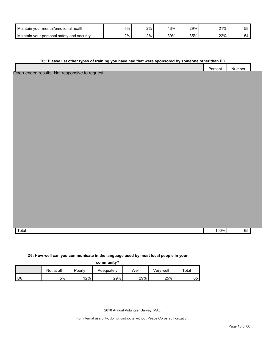| Maintair<br>health<br>∵mental/emotional<br>vour           | 5% | 2% | 43% | 29%                  | 21% | 58 |
|-----------------------------------------------------------|----|----|-----|----------------------|-----|----|
| Maintair<br>personal<br>and<br>security<br>satetv<br>vour | 2% | 2% | 39% | 2E0/<br><b>UU 70</b> | 22% | ∸  |

#### **D5: Please list other types of training you have had that were sponsored by someone other than PC**

|                                              | Percent | Number |  |
|----------------------------------------------|---------|--------|--|
|                                              |         |        |  |
| an anded requite. Not recononcive to request |         |        |  |

Open-ended results. Not responsive to request.

Total 100% 65

#### **D6: How well can you communicate in the language used by most local people in your**

| communitv? |
|------------|
|------------|

|                |            |        | -------------- |      |           |             |
|----------------|------------|--------|----------------|------|-----------|-------------|
|                | Not at all | Poorly | Adeɑuatelv     | Well | √erv well | $\tau$ otal |
| D <sub>6</sub> | 5%         | 12%    | 29%            | 29%  | 25%       | 65          |

2010 Annual Volunteer Survey: MALI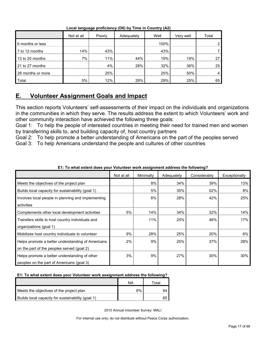|                   | Not at all | Poorly | Adequately | Well | Very well | Total |
|-------------------|------------|--------|------------|------|-----------|-------|
| 6 months or less  |            |        |            | 100% |           | ∩     |
| 7 to 12 months    | 14%        | 43%    |            | 43%  |           |       |
| 13 to 20 months   | 7%         | 11%    | 44%        | 19%  | 19%       | 27    |
| 21 to 27 months   |            | 4%     | 28%        | 32%  | 36%       | 25    |
| 28 months or more |            | 25%    |            | 25%  | 50%       | 4     |
| Total             | 5%         | 12%    | 29%        | 29%  | 25%       | 65    |

**Local language proficiency (D6) by Time in Country (A2)**

## <span id="page-16-0"></span>**E. Volunteer Assignment Goals and Impact**

This section reports Volunteers' self-assessments of their impact on the individuals and organizations in the communities in which they serve. The results address the extent to which Volunteers' work and other community interaction have achieved the following three goals:

Goal 1: To help the people of interested countries in meeting their need for trained men and women by transferring skills to, and building capacity of, host country partners

Goal 2: To help promote a better understanding of Americans on the part of the peoples served Goal 3: To help Americans understand the people and cultures of other countries

|                                                    | Not at all | Minimally | Adequately | Considerably | Exceptionally |
|----------------------------------------------------|------------|-----------|------------|--------------|---------------|
| Meets the objectives of the project plan           |            | 8%        | 34%        | 39%          | 13%           |
| Builds local capacity for sustainability (goal 1)  |            | 5%        | 35%        | 52%          | 8%            |
| Involves local people in planning and implementing |            | 6%        | 28%        | 42%          | 25%           |
| activities                                         |            |           |            |              |               |
| Complements other local development activities     | 5%         | 14%       | 34%        | 32%          | 14%           |
| Transfers skills to host country individuals and   |            | 11%       | 25%        | 48%          | 17%           |
| organizations (goal 1)                             |            |           |            |              |               |
| Mobilizes host country individuals to volunteer    | 9%         | 28%       | 25%        | 20%          | 6%            |
| Helps promote a better understanding of Americans  | 2%         | 9%        | 25%        | 37%          | 28%           |
| on the part of the peoples served (goal 2)         |            |           |            |              |               |
| Helps promote a better understanding of other      | 3%         | 9%        | 27%        | 30%          | 30%           |
| peoples on the part of Americans (goal 3)          |            |           |            |              |               |

**E1: To what extent does your Volunteer work assignment address the following?**

#### **E1: To what extent does your Volunteer work assignment address the following?**

|                                                   | ΝA | ⊤otal |
|---------------------------------------------------|----|-------|
| Meets the objectives of the project plan          | 6% | 64    |
| Builds local capacity for sustainability (goal 1) |    | 65    |

2010 Annual Volunteer Survey: MALI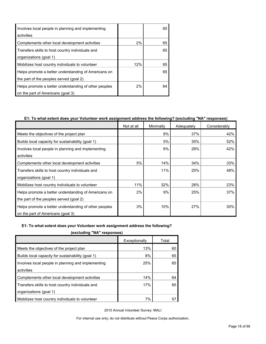| Involves local people in planning and implementing    |     | 65 |
|-------------------------------------------------------|-----|----|
| activities                                            |     |    |
| Complements other local development activities        | 2%  | 65 |
| Transfers skills to host country individuals and      |     | 65 |
| organizations (goal 1)                                |     |    |
| Mobilizes host country individuals to volunteer       | 12% | 65 |
| Helps promote a better understanding of Americans on  |     | 65 |
| the part of the peoples served (goal 2)               |     |    |
| Helps promote a better understanding of other peoples | 2%  | 64 |
| on the part of Americans (goal 3)                     |     |    |

#### **E1: To what extent does your Volunteer work assignment address the following? (excluding "NA" responses)**

|                                                       | Not at all | Minimally | Adequately | Considerably |
|-------------------------------------------------------|------------|-----------|------------|--------------|
| Meets the objectives of the project plan              |            | 8%        | 37%        | 42%          |
| Builds local capacity for sustainability (goal 1)     |            | 5%        | 35%        | 52%          |
| Involves local people in planning and implementing    |            | 6%        | 28%        | 42%          |
| activities                                            |            |           |            |              |
| Complements other local development activities        | 5%         | 14%       | 34%        | 33%          |
| Transfers skills to host country individuals and      |            | 11%       | 25%        | 48%          |
| organizations (goal 1)                                |            |           |            |              |
| Mobilizes host country individuals to volunteer       | 11%        | 32%       | 28%        | 23%          |
| Helps promote a better understanding of Americans on  | 2%         | 9%        | 25%        | 37%          |
| the part of the peoples served (goal 2)               |            |           |            |              |
| Helps promote a better understanding of other peoples | 3%         | 10%       | 27%        | 30%          |
| on the part of Americans (goal 3)                     |            |           |            |              |

#### **E1: To what extent does your Volunteer work assignment address the following?**

**(excluding "NA" responses)**

| Total |
|-------|
|       |
| 60    |
| 65    |
| 65    |
|       |
| 64    |
| 65    |
|       |
| 57    |
|       |

2010 Annual Volunteer Survey: MALI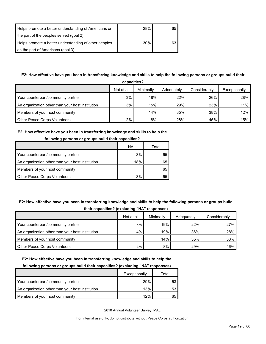| Helps promote a better understanding of Americans on  | 28% | 65 |
|-------------------------------------------------------|-----|----|
| the part of the peoples served (goal 2)               |     |    |
| Helps promote a better understanding of other peoples | 30% | 63 |
| on the part of Americans (goal 3)                     |     |    |

#### **E2: How effective have you been in transferring knowledge and skills to help the following persons or groups build their**

| capacities?                                      |            |           |            |              |               |  |  |
|--------------------------------------------------|------------|-----------|------------|--------------|---------------|--|--|
|                                                  | Not at all | Minimally | Adequately | Considerably | Exceptionally |  |  |
| Your counterpart/community partner               | 3%         | 18%       | 22%        | 26%          | 28%           |  |  |
| An organization other than your host institution | 3%         | 15%       | 29%        | 23%          | 11%           |  |  |
| Members of your host community                   |            | 14%       | 35%        | 38%          | 12%           |  |  |
| <b>Other Peace Corps Volunteers</b>              | 2%         | 8%        | 28%        | 45%          | 15%           |  |  |

#### **E2: How effective have you been in transferring knowledge and skills to help the**

| <b>TOTOWING DETSURE OF GLOUDS DUNG LITER CAPACITIES?</b> |     |       |
|----------------------------------------------------------|-----|-------|
|                                                          | ΝA  | Total |
| Your counterpart/community partner                       | 3%  | 65    |
| An organization other than your host institution         | 18% | 65    |
| Members of your host community                           |     | 65    |
| <b>Other Peace Corps Volunteers</b>                      | 3%  | 65    |

#### **following persons or groups build their capacities?**

#### **E2: How effective have you been in transferring knowledge and skills to help the following persons or groups build their capacities? (excluding "NA" responses)**

|                                                  | Not at all | Minimally | Adequately | Considerably |  |  |  |
|--------------------------------------------------|------------|-----------|------------|--------------|--|--|--|
| Your counterpart/community partner               | 3%         | 19%       | 22%        | 27%          |  |  |  |
| An organization other than your host institution | 4%         | 19%       | 36%        | 28% l        |  |  |  |
| Members of your host community                   |            | 14%       | 35%        | 38%          |  |  |  |
| <b>Other Peace Corps Volunteers</b>              | 2%         | 8%        | 29%        | 46%          |  |  |  |

#### **E2: How effective have you been in transferring knowledge and skills to help the**

#### **following persons or groups build their capacities? (excluding "NA" responses)**

|                                                  | Exceptionally | Total |
|--------------------------------------------------|---------------|-------|
| Your counterpart/community partner               | 29%           |       |
| An organization other than your host institution | 13%           | 53    |
| Members of your host community                   | 12%           | 65    |

2010 Annual Volunteer Survey: MALI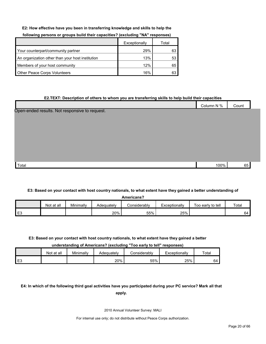#### **E2: How effective have you been in transferring knowledge and skills to help the**

|                                                  | Exceptionally | Total |
|--------------------------------------------------|---------------|-------|
| Your counterpart/community partner               | 29%           | 63    |
| An organization other than your host institution | 13%           | 53    |
| Members of your host community                   | 12%           | 65    |
| <b>Other Peace Corps Volunteers</b>              | 16%           | 63    |

#### **following persons or groups build their capacities? (excluding "NA" responses)**

# **E2.TEXT: Description of others to whom you are transferring skills to help build their capacities** Column N % Count  $\sf Total$  100%  $\sf 65$ Open-ended results. Not responsive to request.

#### **E3: Based on your contact with host country nationals, to what extent have they gained a better understanding of**

|   | <b>Americans?</b> |           |            |              |               |                   |       |  |  |
|---|-------------------|-----------|------------|--------------|---------------|-------------------|-------|--|--|
|   | Not at all        | Minimally | Adequately | Considerably | Exceptionally | Too early to tell | Total |  |  |
| └ |                   |           | 20%        | 55%          | 25%           |                   | 64    |  |  |

#### **E3: Based on your contact with host country nationals, to what extent have they gained a better**

**understanding of Americans? (excluding "Too early to tell" responses)**

|    | Not at all | Minimally | Adequatelv | Considerably | Exceptionally | Total |
|----|------------|-----------|------------|--------------|---------------|-------|
| ∽∟ |            |           | 20%        | 55%          | 25%           | 'nΔ   |

#### **E4: In which of the following third goal activities have you participated during your PC service? Mark all that apply.**

2010 Annual Volunteer Survey: MALI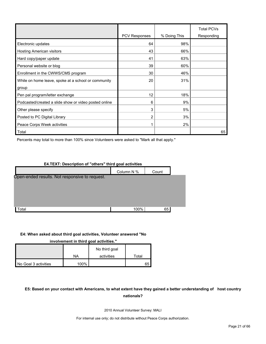|                                                       | <b>PCV Responses</b> | % Doing This | <b>Total PCVs</b><br>Responding |
|-------------------------------------------------------|----------------------|--------------|---------------------------------|
| Electronic updates                                    | 64                   | 98%          |                                 |
| Hosting American visitors                             | 43                   | 66%          |                                 |
| Hard copy/paper update                                | 41                   | 63%          |                                 |
| Personal website or blog                              | 39                   | 60%          |                                 |
| Enrollment in the CWWS/CMS program                    | 30                   | 46%          |                                 |
| While on home leave, spoke at a school or community   | 20                   | 31%          |                                 |
| group                                                 |                      |              |                                 |
| Pen pal program/letter exchange                       | 12                   | 18%          |                                 |
| Podcasted/created a slide show or video posted online | 6                    | 9%           |                                 |
| Other please specify                                  | 3                    | 5%           |                                 |
| Posted to PC Digital Library                          | 2                    | 3%           |                                 |
| Peace Corps Week activities                           |                      | 2%           |                                 |
| Total                                                 |                      |              | 65                              |

Percents may total to more than 100% since Volunteers were asked to "Mark all that apply."

## **E4.TEXT: Description of "others" third goal activities** Column N % Count Total 100% 65 Open-ended results. Not responsive to request.

#### **E4: When asked about third goal activities, Volunteer answered "No**

**involvement in third goal activities."** 

|                      | NA   | No third goal<br>activities | Гоtal |
|----------------------|------|-----------------------------|-------|
|                      |      |                             |       |
| No Goal 3 activities | 100% |                             | 65    |

#### **E5: Based on your contact with Americans, to what extent have they gained a better understanding of host country nationals?**

2010 Annual Volunteer Survey: MALI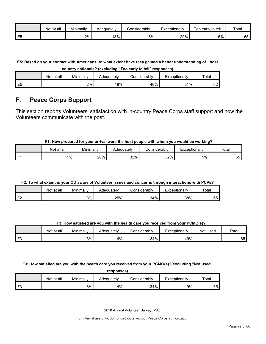|    | Not at all | Minimally | Adequately | Considerabl∨ | Exceptionally | to tell<br>Гоо<br>⊦earlv | Total |
|----|------------|-----------|------------|--------------|---------------|--------------------------|-------|
| E5 |            | 2%        | 18%        | 46%          | 29%           | 5%                       | 65    |

**E5: Based on your contact with Americans, to what extent have they gained a better understanding of host country nationals? (excluding "Too early to tell" responses)**

|                | Not at all | Minimally | Adeauatelv | considerablv | Exceptionally | Total    |
|----------------|------------|-----------|------------|--------------|---------------|----------|
| E <sub>5</sub> |            | 2%        | 19%        | 48%          | 31%           | 60<br>୰∠ |

## <span id="page-21-0"></span>**F. Peace Corps Support**

This section reports Volunteers' satisfaction with in-country Peace Corps staff support and how the Volunteers communicate with the post.

#### **F1: How prepared for your arrival were the host people with whom you would be working?**

|    | Not<br>t at all | Minimally | Adequately | ≿onsiderablv | Exceptionally | Total |
|----|-----------------|-----------|------------|--------------|---------------|-------|
| п. | 11%             | 20%       | 32%        | 32%          | 5%            | 65    |

#### **F2: To what extent is your CD aware of Volunteer issues and concerns through interactions with PCVs?**

|                | Not at all | Minimally | Adeauatelv | :onsiderablv | Exceptionally | <b>Total</b> |
|----------------|------------|-----------|------------|--------------|---------------|--------------|
| F <sub>2</sub> |            | 3%        | 25%        | 34%          | 38%           | 65           |

#### **F3: How satisfied are you with the health care you received from your PCMO(s)?**

|      | Not<br>∶all<br>. at | Minimally | Adequatelv | こonsiderably | Exceptionally | <b>Used</b><br>Not | Total |
|------|---------------------|-----------|------------|--------------|---------------|--------------------|-------|
| l F3 |                     | 3%        | 4%         | 34%          | 49%           |                    | 65    |

**F3: How satisfied are you with the health care you received from your PCMO(s)?(excluding "Not used"** 

| responses) |            |           |            |              |               |       |
|------------|------------|-----------|------------|--------------|---------------|-------|
|            | Not at all | Minimally | Adequately | Considerably | Exceptionally | Total |
| F٩         |            | 3%        | 14%        | 34%          | 49%           | 65    |

2010 Annual Volunteer Survey: MALI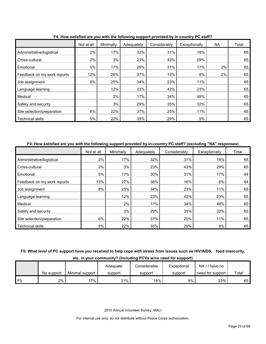|                             | Not at all | Minimally | . <b>.</b><br>Adequately | Considerably | Exceptionally | NA | Total |
|-----------------------------|------------|-----------|--------------------------|--------------|---------------|----|-------|
| Administrative/logistical   | 2%         | 17%       | 32%                      | 31%          | 18%           |    | 65    |
| Cross-cultural              | 2%         | 3%        | 23%                      | 43%          | 29%           |    | 65    |
| Emotional                   | 5%         | 17%       | 29%                      | 31%          | 17%           | 2% | 65    |
| Feedback on my work reports | 12%        | 26%       | 37%                      | 15%          | 8%            | 2% | 65    |
| Job assignment              | 8%         | 25%       | 34%                      | 23%          | 11%           |    | 65    |
| Language learning           |            | 12%       | 23%                      | 42%          | 23%           |    | 65    |
| Medical                     |            | 2%        | 17%                      | 34%          | 48%           |    | 65    |
| Safety and security         |            | 3%        | 29%                      | 35%          | 32%           |    | 65    |
| Site selection/preparation  | 6%         | 22%       | 37%                      | 25%          | 11%           |    | 65    |
| <b>Technical skills</b>     | 5%         | 22%       | 35%                      | 29%          | 9%            |    | 65    |

**F4: How satisfied are you with the following support provided by in-country PC staff?**

#### **F4: How satisfied are you with the following support provided by in-country PC staff? (excluding "NA" responses)**

|                             | Not at all | Minimally | Adequately | Considerably | Exceptionally | Total |
|-----------------------------|------------|-----------|------------|--------------|---------------|-------|
| Administrative/logistical   | 2%         | 17%       | 32%        | 31%          | 18%           | 65    |
| Cross-cultural              | 2%         | 3%        | 23%        | 43%          | 29%           | 65    |
| Emotional                   | 5%         | 17%       | 30%        | 31%          | 17%           | 64    |
| Feedback on my work reports | 13%        | 27%       | 38%        | 16%          | 8%            | 64    |
| Job assignment              | 8%         | 25%       | 34%        | 23%          | 11%           | 65    |
| Language learning           |            | 12%       | 23%        | 42%          | 23%           | 65    |
| Medical                     |            | 2%        | 17%        | 34%          | 48%           | 65    |
| Safety and security         |            | 3%        | 29%        | 35%          | 32%           | 65    |
| Site selection/preparation  | 6%         | 22%       | 37%        | 25%          | 11%           | 65    |
| <b>Technical skills</b>     | 5%         | 22%       | 35%        | 29%          | 9%            | 65    |

**F5: What level of PC support have you received to help cope with stress from issues such as HIV/AIDS, food insecurity,** 

**etc. in your community? (Including PCVs w/no need for support)**

|                |            |                 | Adequate | Considerable | Exceptional | NA'<br>/ I have no |       |
|----------------|------------|-----------------|----------|--------------|-------------|--------------------|-------|
|                | No support | Minimal support | support  | support      | support     | need for support   | Total |
| F <sub>5</sub> | 2%         | $7\%$           | 31%      | 18%          | 9%          | 23%                | 65    |

2010 Annual Volunteer Survey: MALI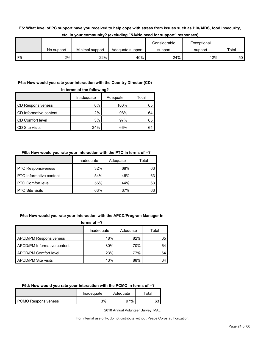#### **F5: What level of PC support have you received to help cope with stress from issues such as HIV/AIDS, food insecurity,**

|                |            |                 |                  | Considerable | Exceptional |       |
|----------------|------------|-----------------|------------------|--------------|-------------|-------|
|                | No support | Minimal support | Adequate support | support      | support     | Total |
| F <sub>5</sub> | 2%         | 22%             | 40%              | 24%          | $12\%$      | 50    |

#### **etc. in your community? (excluding "NA/No need for support" responses)**

#### **F6a: How would you rate your interaction with the Country Director (CD)**

| in terms of the following?      |     |      |    |  |  |  |  |  |
|---------------------------------|-----|------|----|--|--|--|--|--|
| Adequate<br>Inadequate<br>Total |     |      |    |  |  |  |  |  |
| <b>CD Responsiveness</b>        | 0%  | 100% | 65 |  |  |  |  |  |
| CD Informative content          | 2%  | 98%  | 64 |  |  |  |  |  |
| CD Comfort level                | 3%  | 97%  | 65 |  |  |  |  |  |
| <b>CD</b> Site visits           | 34% | 66%  | 64 |  |  |  |  |  |

#### **F6b: How would you rate your interaction with the PTO in terms of --?**

|                           | Inadequate | Adequate | Total |
|---------------------------|------------|----------|-------|
| <b>PTO Responsiveness</b> | 32%        | 68%      | 63    |
| PTO Informative content   | 54%        | 46%      | 63    |
| <b>PTO Comfort level</b>  | 56%        | 44%      | 63    |
| <b>PTO Site visits</b>    | 63%        | 37%      | 63    |

#### **F6c: How would you rate your interaction with the APCD/Program Manager in**

**terms of --?**

|                               | Inadequate | Adequate | Total |
|-------------------------------|------------|----------|-------|
| <b>APCD/PM Responsiveness</b> | 18%        | 82%      | 65    |
| APCD/PM Informative content   | 30%        | 70%      | 64    |
| APCD/PM Comfort level         | 23%        | 77%      | 64    |
| APCD/PM Site visits           | 13%        | 88%      | 64    |

#### **F6d: How would you rate your interaction with the PCMO in terms of --?**

|                            | Inadeguate | Adequate | <sup>-</sup> otal |
|----------------------------|------------|----------|-------------------|
| <b>PCMO Responsiveness</b> | 3%         | ገ7%      | <b>^^</b>         |

2010 Annual Volunteer Survey: MALI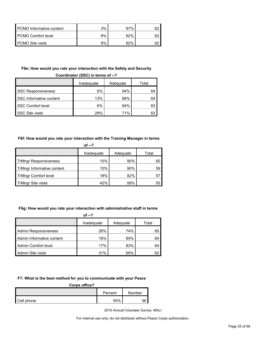| PCMO Informative content | 3% | 97% |  |
|--------------------------|----|-----|--|
| PCMO Comfort level       | 8% | 92% |  |
| PCMO Site visits         | 8% | 92% |  |

#### **F6e: How would you rate your interaction with the Safety and Security**

|                           | Inadequate<br>Adequate |     | Total |  |
|---------------------------|------------------------|-----|-------|--|
| <b>SSC Responsiveness</b> | 6%                     | 94% | 64    |  |
| SSC Informative content   | 13%                    | 88% | 64    |  |
| <b>SSC Comfort level</b>  | 6%                     | 94% | 63    |  |
| <b>SSC Site visits</b>    | 29%                    | 71% | 63    |  |

#### **Coordinator (SSC) in terms of --?**

#### **F6f: How would you rate your interaction with the Training Manager in terms**

| of $-2$                      |            |          |       |  |  |
|------------------------------|------------|----------|-------|--|--|
|                              | Inadequate | Adequate | Total |  |  |
| <b>TrMngr Responsiveness</b> | 10%        | 90%      | 60    |  |  |
| TrMngr Informative content   | 10%        | 90%      | 59    |  |  |
| <b>TrMngr Comfort level</b>  | 18%        | 82%      | 57    |  |  |
| <b>TrMngr Site visits</b>    | 42%        | 58%      | 55    |  |  |

#### **F6g: How would you rate your interaction with administrative staff in terms**

**of --?**

|                           | Inadequate | Adequate | Total |
|---------------------------|------------|----------|-------|
| Admin Responsiveness      | 26%        | 74%      | 65    |
| Admin Informative content | 16%        | 84%      | 64    |
| Admin Comfort level       | 17%        | 83%      | 64    |
| Admin Site visits         | 31%        | 69%      | 62    |

#### **F7: What is the best method for you to communicate with your Peace**

#### **Corps office?**

|            | Percent |     | Number |
|------------|---------|-----|--------|
| Cell phone |         | 55% | 36     |

2010 Annual Volunteer Survey: MALI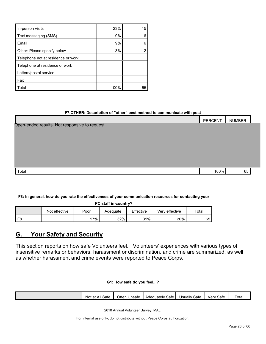| In-person visits                   | 23%  | 15 |
|------------------------------------|------|----|
| Text messaging (SMS)               | 9%   |    |
| <b>Email</b>                       | 9%   |    |
| Other: Please specify below        | 3%   |    |
| Telephone not at residence or work |      |    |
| Telephone at residence or work     |      |    |
| Letters/postal service             |      |    |
| l Fax                              |      |    |
| Total                              | 100% |    |

#### **F7.OTHER: Description of "other" best method to communicate with post**

|                                                | PERCENT | <b>NUMBER</b> |
|------------------------------------------------|---------|---------------|
| Open-ended results. Not responsive to request. |         |               |
|                                                |         |               |
|                                                |         |               |
|                                                |         |               |
|                                                |         |               |
|                                                |         |               |
| Total                                          | 100%    | 65            |

#### **F8: In general, how do you rate the effectiveness of your communication resources for contacting your**

| PC staff in-country? |  |
|----------------------|--|
|----------------------|--|

|                | Not effective | Poor | Adequate | Effective | Verv effective | Total |
|----------------|---------------|------|----------|-----------|----------------|-------|
| F <sub>8</sub> |               | 7%   | 32%      | 31%       | 20%            | 65    |

## <span id="page-25-0"></span>**G. Your Safety and Security**

This section reports on how safe Volunteers feel. Volunteers' experiences with various types of insensitive remarks or behaviors, harassment or discrimination, and crime are summarized, as well as whether harassment and crime events were reported to Peace Corps.

#### **G1: How safe do you feel...?**

| All<br>$\sim$<br>Safe<br>Not<br>at | Often<br>Unsafe | -<br>Safe<br>Adequately | <b>Jsually</b><br>$\overline{\phantom{0}}$<br>Safe | -<br>Safe<br>verv | Total |
|------------------------------------|-----------------|-------------------------|----------------------------------------------------|-------------------|-------|
|                                    |                 |                         |                                                    |                   |       |

2010 Annual Volunteer Survey: MALI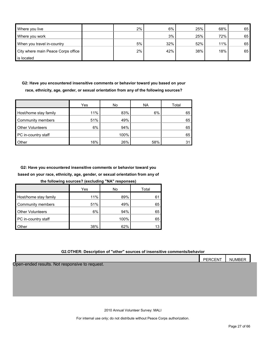| Where you live                     | 2% | 6%  | 25% | 68% | 65 |
|------------------------------------|----|-----|-----|-----|----|
| Where you work                     |    | 3%  | 25% | 72% | 65 |
| When you travel in-country         | 5% | 32% | 52% | 11% | 65 |
| City where main Peace Corps office | 2% | 42% | 38% | 18% | 65 |
| is located                         |    |     |     |     |    |

**G2: Have you encountered insensitive comments or behavior toward you based on your race, ethnicity, age, gender, or sexual orientation from any of the following sources?**

|                         | Yes | No   | <b>NA</b> | Total |
|-------------------------|-----|------|-----------|-------|
| Host/home stay family   | 11% | 83%  | 6%        | 65    |
| Community members       | 51% | 49%  |           | 65    |
| <b>Other Volunteers</b> | 6%  | 94%  |           | 65    |
| PC in-country staff     |     | 100% |           | 65    |
| Other                   | 16% | 26%  | 58%       | 31    |

**G2: Have you encountered insensitive comments or behavior toward you based on your race, ethnicity, age, gender, or sexual orientation from any of** 

**the following sources? (excluding "NA" responses)**

|                         | Yes | No   | Total |
|-------------------------|-----|------|-------|
| Host/home stay family   | 11% | 89%  | 61    |
| Community members       | 51% | 49%  | 65    |
| <b>Other Volunteers</b> | 6%  | 94%  | 65    |
| PC in-country staff     |     | 100% | 65    |
| Other                   | 38% | 62%  |       |

#### **G2.OTHER: Description of "other" sources of insensitive comments/behavior**

|                                                | PERCENT | <b>NUMBER</b> |  |
|------------------------------------------------|---------|---------------|--|
| Open-ended results. Not responsive to request. |         |               |  |
|                                                |         |               |  |
|                                                |         |               |  |
|                                                |         |               |  |
|                                                |         |               |  |
|                                                |         |               |  |

2010 Annual Volunteer Survey: MALI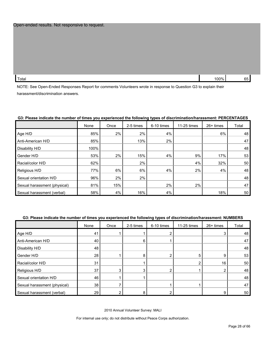Total 100% 65  $\,$  100% 65  $\,$ 

NOTE: See Open-Ended Responses Report for comments Volunteers wrote in response to Question G3 to explain their harassment/discrimination answers.

|                              | None | Once | 2-5 times | 6-10 times | 11-25 times | 26+ times | Total |
|------------------------------|------|------|-----------|------------|-------------|-----------|-------|
| Age H/D                      | 85%  | 2%   | 2%        | 4%         |             | 6%        | 48    |
| Anti-American H/D            | 85%  |      | 13%       | 2%         |             |           | 47    |
| Disability H/D               | 100% |      |           |            |             |           | 48    |
| Gender H/D                   | 53%  | 2%   | 15%       | 4%         | 9%          | 17%       | 53    |
| Racial/color H/D             | 62%  |      | 2%        |            | 4%          | 32%       | 50    |
| Religious H/D                | 77%  | 6%   | 6%        | 4%         | 2%          | 4%        | 48    |
| Sexual orientation H/D       | 96%  | 2%   | 2%        |            |             |           | 48    |
| Sexual harassment (physical) | 81%  | 15%  |           | 2%         | 2%          |           | 47    |
| Sexual harassment (verbal)   | 58%  | 4%   | 16%       | 4%         |             | 18%       | 50    |

#### **G3: Please indicate the number of times you experienced the following types of discrimination/harassment: PERCENTAGES**

#### **G3: Please indicate the number of times you experienced the following types of discrimination/harassment: NUMBERS**

|                              | None | Once | 2-5 times | 6-10 times | 11-25 times    | 26+ times | Total |
|------------------------------|------|------|-----------|------------|----------------|-----------|-------|
| Age H/D                      | 41   |      |           |            |                | 3         | 48    |
| Anti-American H/D            | 40   |      | 6         |            |                |           | 47    |
| Disability H/D               | 48   |      |           |            |                |           | 48    |
| Gender H/D                   | 28   |      | 8         |            | 5              | 9         | 53    |
| Racial/color H/D             | 31   |      |           |            | $\overline{2}$ | 16        | 50    |
| Religious H/D                | 37   | 3    |           |            |                | 2         | 48    |
| Sexual orientation H/D       | 46   |      |           |            |                |           | 48    |
| Sexual harassment (physical) | 38   |      |           |            |                |           | 47    |
| Sexual harassment (verbal)   | 29   |      |           |            |                | 9         | 50    |

2010 Annual Volunteer Survey: MALI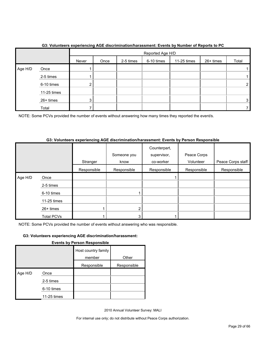|         |             |       | Reported Age H/D |           |            |             |           |       |  |  |
|---------|-------------|-------|------------------|-----------|------------|-------------|-----------|-------|--|--|
|         |             | Never | Once             | 2-5 times | 6-10 times | 11-25 times | 26+ times | Total |  |  |
| Age H/D | Once        |       |                  |           |            |             |           |       |  |  |
|         | 2-5 times   |       |                  |           |            |             |           |       |  |  |
|         | 6-10 times  | ົ     |                  |           |            |             |           | 2     |  |  |
|         | 11-25 times |       |                  |           |            |             |           |       |  |  |
|         | 26+ times   | 3     |                  |           |            |             |           | 3     |  |  |
|         | Total       |       |                  |           |            |             |           |       |  |  |

#### **G3: Volunteers experiencing AGE discrimination/harassment: Events by Number of Reports to PC**

NOTE: Some PCVs provided the number of events without answering how many times they reported the event/s.

#### **G3: Volunteers experiencing AGE discrimination/harassment: Events by Person Responsible**

|         |                   | Stranger    | Someone you<br>know | Counterpart,<br>supervisor,<br>co-worker | Peace Corps<br>Volunteer | Peace Corps staff |
|---------|-------------------|-------------|---------------------|------------------------------------------|--------------------------|-------------------|
|         |                   | Responsible | Responsible         | Responsible                              | Responsible              | Responsible       |
| Age H/D | Once              |             |                     |                                          |                          |                   |
|         | 2-5 times         |             |                     |                                          |                          |                   |
|         | 6-10 times        |             |                     |                                          |                          |                   |
|         | $11-25$ times     |             |                     |                                          |                          |                   |
|         | 26+ times         |             | 2                   |                                          |                          |                   |
|         | <b>Total PCVs</b> |             | 3                   |                                          |                          |                   |

NOTE: Some PCVs provided the number of events without answering who was responsible.

#### **G3: Volunteers experiencing AGE discrimination/harassment:**

| <b>Events by Person Responsible</b> |
|-------------------------------------|
|-------------------------------------|

|         |             | Host country family<br>member | Other       |  |
|---------|-------------|-------------------------------|-------------|--|
|         |             | Responsible                   | Responsible |  |
| Age H/D | Once        |                               |             |  |
|         | 2-5 times   |                               |             |  |
|         | 6-10 times  |                               |             |  |
|         | 11-25 times |                               |             |  |

2010 Annual Volunteer Survey: MALI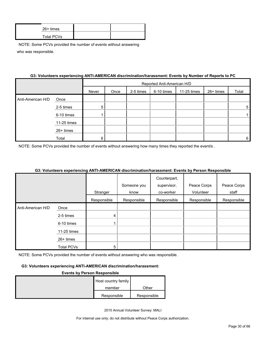| $26+$ times |  |
|-------------|--|
| Total PCVs  |  |

#### **G3: Volunteers experiencing ANTI-AMERICAN discrimination/harassment: Events by Number of Reports to PC**

|                   |             |       | Reported Anti-American H/D |           |            |             |           |       |
|-------------------|-------------|-------|----------------------------|-----------|------------|-------------|-----------|-------|
|                   |             | Never | Once                       | 2-5 times | 6-10 times | 11-25 times | 26+ times | Total |
| Anti-American H/D | Once        |       |                            |           |            |             |           |       |
|                   | 2-5 times   | 5     |                            |           |            |             |           | 5     |
|                   | 6-10 times  |       |                            |           |            |             |           |       |
|                   | 11-25 times |       |                            |           |            |             |           |       |
|                   | 26+ times   |       |                            |           |            |             |           |       |
|                   | Total       | 6     |                            |           |            |             |           | 6     |

NOTE: Some PCVs provided the number of events without answering how many times they reported the event/s.

#### **G3: Volunteers experiencing ANTI-AMERICAN discrimination/harassment: Events by Person Responsible**

|                   |                   |             |             | Counterpart, |             |             |
|-------------------|-------------------|-------------|-------------|--------------|-------------|-------------|
|                   |                   |             | Someone you | supervisor,  | Peace Corps | Peace Corps |
|                   |                   | Stranger    | know        | co-worker    | Volunteer   | staff       |
|                   |                   | Responsible | Responsible | Responsible  | Responsible | Responsible |
| Anti-American H/D | Once              |             |             |              |             |             |
|                   | 2-5 times         | 4           |             |              |             |             |
|                   | 6-10 times        |             |             |              |             |             |
|                   | 11-25 times       |             |             |              |             |             |
|                   | 26+ times         |             |             |              |             |             |
|                   | <b>Total PCVs</b> | 5           |             |              |             |             |

NOTE: Some PCVs provided the number of events without answering who was responsible.

#### **G3: Volunteers experiencing ANTI-AMERICAN discrimination/harassment:**

#### **Events by Person Responsible**

| Host country family |             |
|---------------------|-------------|
| member              | Other       |
| Responsible         | Responsible |

2010 Annual Volunteer Survey: MALI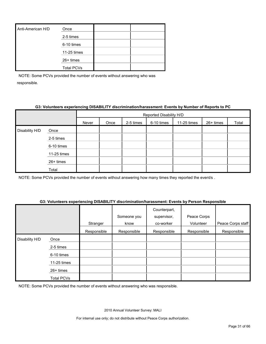| Anti-American H/D | Once              |  |
|-------------------|-------------------|--|
|                   | 2-5 times         |  |
|                   | 6-10 times        |  |
|                   | 11-25 times       |  |
|                   | 26+ times         |  |
|                   | <b>Total PCVs</b> |  |

#### **G3: Volunteers experiencing DISABILITY discrimination/harassment: Events by Number of Reports to PC**

|                |             |       | Reported Disability H/D |           |            |             |           |       |  |  |
|----------------|-------------|-------|-------------------------|-----------|------------|-------------|-----------|-------|--|--|
|                |             | Never | Once                    | 2-5 times | 6-10 times | 11-25 times | 26+ times | Total |  |  |
| Disability H/D | Once        |       |                         |           |            |             |           |       |  |  |
|                | 2-5 times   |       |                         |           |            |             |           |       |  |  |
|                | 6-10 times  |       |                         |           |            |             |           |       |  |  |
|                | 11-25 times |       |                         |           |            |             |           |       |  |  |
|                | 26+ times   |       |                         |           |            |             |           |       |  |  |
|                | Total       |       |                         |           |            |             |           |       |  |  |

NOTE: Some PCVs provided the number of events without answering how many times they reported the event/s .

#### **G3: Volunteers experiencing DISABILITY discrimination/harassment: Events by Person Responsible**

|                |                   | Stranger    | Someone you<br>know | Counterpart,<br>supervisor,<br>co-worker | Peace Corps<br>Volunteer | Peace Corps staff |
|----------------|-------------------|-------------|---------------------|------------------------------------------|--------------------------|-------------------|
|                |                   | Responsible | Responsible         | Responsible                              | Responsible              | Responsible       |
| Disability H/D | Once              |             |                     |                                          |                          |                   |
|                | 2-5 times         |             |                     |                                          |                          |                   |
|                | 6-10 times        |             |                     |                                          |                          |                   |
|                | 11-25 times       |             |                     |                                          |                          |                   |
|                | 26+ times         |             |                     |                                          |                          |                   |
|                | <b>Total PCVs</b> |             |                     |                                          |                          |                   |

NOTE: Some PCVs provided the number of events without answering who was responsible.

2010 Annual Volunteer Survey: MALI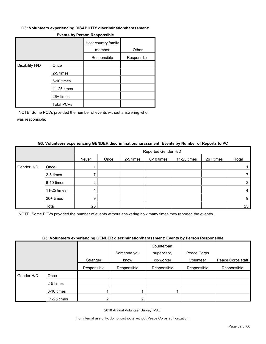#### **G3: Volunteers experiencing DISABILITY discrimination/harassment:**

|                |                   | Host country family<br>member | Other       |
|----------------|-------------------|-------------------------------|-------------|
|                |                   | Responsible                   | Responsible |
| Disability H/D | Once              |                               |             |
|                | 2-5 times         |                               |             |
|                | 6-10 times        |                               |             |
|                | 11-25 times       |                               |             |
|                | 26+ times         |                               |             |
|                | <b>Total PCVs</b> |                               |             |

#### **Events by Person Responsible**

NOTE: Some PCVs provided the number of events without answering who was responsible.

|            |             |       |      |           | Reported Gender H/D |             |           |                |
|------------|-------------|-------|------|-----------|---------------------|-------------|-----------|----------------|
|            |             | Never | Once | 2-5 times | 6-10 times          | 11-25 times | 26+ times | Total          |
| Gender H/D | Once        |       |      |           |                     |             |           |                |
|            | 2-5 times   |       |      |           |                     |             |           |                |
|            | 6-10 times  | າ     |      |           |                     |             |           | $\overline{2}$ |
|            | 11-25 times | 4     |      |           |                     |             |           | 4              |
|            | 26+ times   | 9     |      |           |                     |             |           | 9              |
|            | Total       | 23    |      |           |                     |             |           | 23             |

#### **G3: Volunteers experiencing GENDER discrimination/harassment: Events by Number of Reports to PC**

NOTE: Some PCVs provided the number of events without answering how many times they reported the event/s .

#### **G3: Volunteers experiencing GENDER discrimination/harassment: Events by Person Responsible**

|            |             |             |             | Counterpart, |             |                   |
|------------|-------------|-------------|-------------|--------------|-------------|-------------------|
|            |             |             | Someone you | supervisor,  | Peace Corps |                   |
|            |             | Stranger    | know        | co-worker    | Volunteer   | Peace Corps staff |
|            |             | Responsible | Responsible | Responsible  | Responsible | Responsible       |
| Gender H/D | Once        |             |             |              |             |                   |
|            | 2-5 times   |             |             |              |             |                   |
|            | 6-10 times  |             |             |              |             |                   |
|            | 11-25 times |             | 2           |              |             |                   |

2010 Annual Volunteer Survey: MALI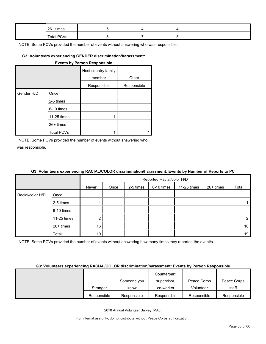| 26+ times  |  |  |  |
|------------|--|--|--|
| Total PCVs |  |  |  |

#### **G3: Volunteers experiencing GENDER discrimination/harassment:**

|            | <b>Events by Person Responsible</b> |                               |             |  |  |  |  |  |  |  |
|------------|-------------------------------------|-------------------------------|-------------|--|--|--|--|--|--|--|
|            |                                     | Host country family<br>member | Other       |  |  |  |  |  |  |  |
|            |                                     | Responsible                   | Responsible |  |  |  |  |  |  |  |
| Gender H/D | Once                                |                               |             |  |  |  |  |  |  |  |
|            | 2-5 times                           |                               |             |  |  |  |  |  |  |  |
|            | 6-10 times                          |                               |             |  |  |  |  |  |  |  |
|            | 11-25 times                         |                               |             |  |  |  |  |  |  |  |
|            | $26+$ times                         |                               |             |  |  |  |  |  |  |  |
|            | <b>Total PCVs</b>                   |                               |             |  |  |  |  |  |  |  |

NOTE: Some PCVs provided the number of events without answering who was responsible.

#### **G3: Volunteers experiencing RACIAL/COLOR discrimination/harassment: Events by Number of Reports to PC**

|                  |             |       | Reported Racial/color H/D |           |            |             |           |                |  |
|------------------|-------------|-------|---------------------------|-----------|------------|-------------|-----------|----------------|--|
|                  |             | Never | Once                      | 2-5 times | 6-10 times | 11-25 times | 26+ times | Total          |  |
| Racial/color H/D | Once        |       |                           |           |            |             |           |                |  |
|                  | 2-5 times   |       |                           |           |            |             |           |                |  |
|                  | 6-10 times  |       |                           |           |            |             |           |                |  |
|                  | 11-25 times | റ     |                           |           |            |             |           | 2 <sub>1</sub> |  |
|                  | 26+ times   | 16    |                           |           |            |             |           | 16             |  |
|                  | Total       | 19    |                           |           |            |             |           | 19             |  |

NOTE: Some PCVs provided the number of events without answering how many times they reported the event/s.

#### **G3: Volunteers experiencing RACIAL/COLOR discrimination/harassment: Events by Person Responsible**

|             |             | Counterpart, |             |             |
|-------------|-------------|--------------|-------------|-------------|
|             | Someone you | supervisor,  | Peace Corps | Peace Corps |
| Stranger    | know        | co-worker    | Volunteer   | staff       |
| Responsible | Responsible | Responsible  | Responsible | Responsible |

2010 Annual Volunteer Survey: MALI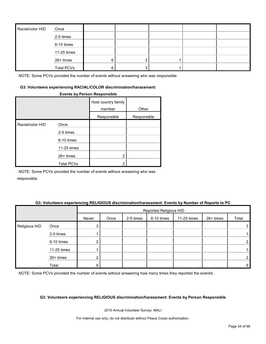| Racial/color H/D | Once              |  |  |  |
|------------------|-------------------|--|--|--|
|                  | 2-5 times         |  |  |  |
|                  | 6-10 times        |  |  |  |
|                  | 11-25 times       |  |  |  |
|                  | 26+ times         |  |  |  |
|                  | <b>Total PCVs</b> |  |  |  |

#### **G3: Volunteers experiencing RACIAL/COLOR discrimination/harassment:**

#### **Events by Person Responsible**

|                  |                   | Host country family<br>member | Other       |
|------------------|-------------------|-------------------------------|-------------|
|                  |                   | Responsible                   | Responsible |
| Racial/color H/D | Once              |                               |             |
|                  | 2-5 times         |                               |             |
|                  | 6-10 times        |                               |             |
|                  | 11-25 times       |                               |             |
|                  | 26+ times         | 2                             |             |
|                  | <b>Total PCVs</b> | っ                             |             |

NOTE: Some PCVs provided the number of events without answering who was responsible.

#### **G3: Volunteers experiencing RELIGIOUS discrimination/harassment: Events by Number of Reports to PC**

|               |             |       | Reported Religious H/D |           |            |             |           |       |  |  |
|---------------|-------------|-------|------------------------|-----------|------------|-------------|-----------|-------|--|--|
|               |             | Never | Once                   | 2-5 times | 6-10 times | 11-25 times | 26+ times | Total |  |  |
| Religious H/D | Once        | 3     |                        |           |            |             |           | 3     |  |  |
|               | 2-5 times   |       |                        |           |            |             |           |       |  |  |
|               | 6-10 times  | ົ     |                        |           |            |             |           | 2     |  |  |
|               | 11-25 times |       |                        |           |            |             |           |       |  |  |
|               | 26+ times   |       |                        |           |            |             |           | 2     |  |  |
|               | Total       | 9     |                        |           |            |             |           | 9     |  |  |

NOTE: Some PCVs provided the number of events without answering how many times they reported the event/s.

#### **G3: Volunteers experiencing RELIGIOUS discrimination/harassment: Events by Person Responsible**

2010 Annual Volunteer Survey: MALI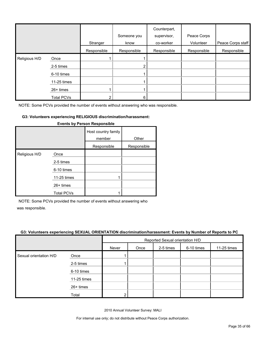|               |                   | Stranger    | Someone you<br>know | Counterpart,<br>supervisor,<br>co-worker | Peace Corps<br>Volunteer | Peace Corps staff |
|---------------|-------------------|-------------|---------------------|------------------------------------------|--------------------------|-------------------|
|               |                   | Responsible | Responsible         | Responsible                              | Responsible              | Responsible       |
| Religious H/D | Once              |             |                     |                                          |                          |                   |
|               | 2-5 times         |             |                     |                                          |                          |                   |
|               | 6-10 times        |             |                     |                                          |                          |                   |
|               | 11-25 times       |             |                     |                                          |                          |                   |
|               | 26+ times         |             |                     |                                          |                          |                   |
|               | <b>Total PCVs</b> | っ           | 6                   |                                          |                          |                   |

#### **G3: Volunteers experiencing RELIGIOUS discrimination/harassment:**

|               |                   | Host country family<br>member | Other       |
|---------------|-------------------|-------------------------------|-------------|
|               |                   | Responsible                   | Responsible |
| Religious H/D | Once              |                               |             |
|               | 2-5 times         |                               |             |
|               | 6-10 times        |                               |             |
|               | 11-25 times       |                               |             |
|               | 26+ times         |                               |             |
|               | <b>Total PCVs</b> |                               |             |

#### **Events by Person Responsible**

NOTE: Some PCVs provided the number of events without answering who

was responsible.

#### **G3: Volunteers experiencing SEXUAL ORIENTATION discrimination/harassment: Events by Number of Reports to PC**

|                        |             | Reported Sexual orientation H/D |      |           |            |             |  |  |
|------------------------|-------------|---------------------------------|------|-----------|------------|-------------|--|--|
|                        |             | Never                           | Once | 2-5 times | 6-10 times | 11-25 times |  |  |
| Sexual orientation H/D | Once        |                                 |      |           |            |             |  |  |
|                        | 2-5 times   |                                 |      |           |            |             |  |  |
|                        | 6-10 times  |                                 |      |           |            |             |  |  |
|                        | 11-25 times |                                 |      |           |            |             |  |  |
|                        | 26+ times   |                                 |      |           |            |             |  |  |
|                        | Total       |                                 |      |           |            |             |  |  |

2010 Annual Volunteer Survey: MALI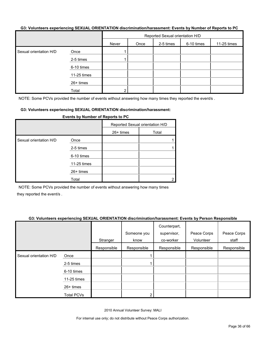#### **G3: Volunteers experiencing SEXUAL ORIENTATION discrimination/harassment: Events by Number of Reports to PC**

|                        |             | Reported Sexual orientation H/D |      |           |            |             |  |  |
|------------------------|-------------|---------------------------------|------|-----------|------------|-------------|--|--|
|                        |             | Never                           | Once | 2-5 times | 6-10 times | 11-25 times |  |  |
| Sexual orientation H/D | Once        |                                 |      |           |            |             |  |  |
|                        | 2-5 times   |                                 |      |           |            |             |  |  |
|                        | 6-10 times  |                                 |      |           |            |             |  |  |
|                        | 11-25 times |                                 |      |           |            |             |  |  |
|                        | 26+ times   |                                 |      |           |            |             |  |  |
|                        | Total       | ົ                               |      |           |            |             |  |  |

NOTE: Some PCVs provided the number of events without answering how many times they reported the event/s.

#### **G3: Volunteers experiencing SEXUAL ORIENTATION discrimination/harassment:**

|                        |             | .                               |       |  |  |  |  |
|------------------------|-------------|---------------------------------|-------|--|--|--|--|
|                        |             | Reported Sexual orientation H/D |       |  |  |  |  |
|                        |             | $26+$ times                     | Total |  |  |  |  |
| Sexual orientation H/D | Once        |                                 |       |  |  |  |  |
|                        | 2-5 times   |                                 |       |  |  |  |  |
|                        | 6-10 times  |                                 |       |  |  |  |  |
|                        | 11-25 times |                                 |       |  |  |  |  |
|                        | 26+ times   |                                 |       |  |  |  |  |
|                        | Total       |                                 |       |  |  |  |  |

**Events by Number of Reports to PC**

NOTE: Some PCVs provided the number of events without answering how many times they reported the event/s .

#### **G3: Volunteers experiencing SEXUAL ORIENTATION discrimination/harassment: Events by Person Responsible**

|                        |                   | Stranger    | Someone you<br>know | Counterpart,<br>supervisor,<br>co-worker | Peace Corps<br>Volunteer | Peace Corps<br>staff |
|------------------------|-------------------|-------------|---------------------|------------------------------------------|--------------------------|----------------------|
|                        |                   | Responsible | Responsible         | Responsible                              | Responsible              | Responsible          |
| Sexual orientation H/D | Once              |             |                     |                                          |                          |                      |
|                        | 2-5 times         |             |                     |                                          |                          |                      |
|                        | 6-10 times        |             |                     |                                          |                          |                      |
|                        | 11-25 times       |             |                     |                                          |                          |                      |
|                        | 26+ times         |             |                     |                                          |                          |                      |
|                        | <b>Total PCVs</b> |             |                     |                                          |                          |                      |

2010 Annual Volunteer Survey: MALI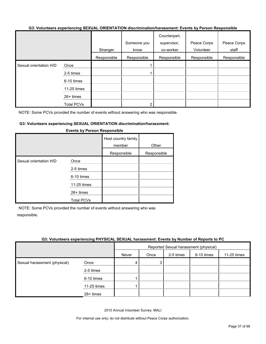#### **G3: Volunteers experiencing SEXUAL ORIENTATION discrimination/harassment: Events by Person Responsible**

|                        |                   |             |             | Counterpart, |             |             |
|------------------------|-------------------|-------------|-------------|--------------|-------------|-------------|
|                        |                   |             | Someone you | supervisor,  | Peace Corps | Peace Corps |
|                        |                   | Stranger    | know        | co-worker    | Volunteer   | staff       |
|                        |                   | Responsible | Responsible | Responsible  | Responsible | Responsible |
| Sexual orientation H/D | Once              |             |             |              |             |             |
|                        | 2-5 times         |             |             |              |             |             |
|                        | 6-10 times        |             |             |              |             |             |
|                        | 11-25 times       |             |             |              |             |             |
|                        | $26+$ times       |             |             |              |             |             |
|                        | <b>Total PCVs</b> |             |             |              |             |             |

NOTE: Some PCVs provided the number of events without answering who was responsible.

#### **G3: Volunteers experiencing SEXUAL ORIENTATION discrimination/harassment:**

|                        |                   | Host country family<br>member | Other       |
|------------------------|-------------------|-------------------------------|-------------|
|                        |                   | Responsible                   | Responsible |
| Sexual orientation H/D | Once              |                               |             |
|                        | 2-5 times         |                               |             |
|                        | 6-10 times        |                               |             |
|                        | 11-25 times       |                               |             |
|                        | $26+$ times       |                               |             |
|                        | <b>Total PCVs</b> |                               |             |

#### **Events by Person Responsible**

NOTE: Some PCVs provided the number of events without answering who was responsible.

#### **G3: Volunteers experiencing PHYSICAL SEXUAL harassment: Events by Number of Reports to PC**

|                              |             | Reported Sexual harassment (physical) |      |           |            |             |  |
|------------------------------|-------------|---------------------------------------|------|-----------|------------|-------------|--|
|                              |             | Never                                 | Once | 2-5 times | 6-10 times | 11-25 times |  |
| Sexual harassment (physical) | Once        | 4                                     | 3    |           |            |             |  |
|                              | 2-5 times   |                                       |      |           |            |             |  |
|                              | 6-10 times  |                                       |      |           |            |             |  |
|                              | 11-25 times |                                       |      |           |            |             |  |
|                              | 26+ times   |                                       |      |           |            |             |  |

2010 Annual Volunteer Survey: MALI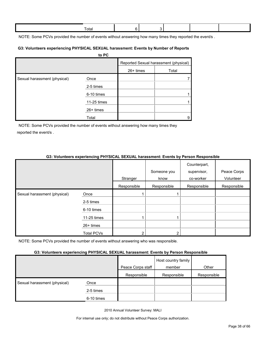| ⊺otal |  |  |  |
|-------|--|--|--|
|       |  |  |  |
|       |  |  |  |

NOTE: Some PCVs provided the number of events without answering how many times they reported the event/s.

#### **G3: Volunteers experiencing PHYSICAL SEXUAL harassment: Events by Number of Reports**

|                              | to PC       |             |                                       |
|------------------------------|-------------|-------------|---------------------------------------|
|                              |             |             | Reported Sexual harassment (physical) |
|                              |             | $26+ times$ | Total                                 |
| Sexual harassment (physical) | Once        |             |                                       |
|                              | 2-5 times   |             |                                       |
|                              | 6-10 times  |             |                                       |
|                              | 11-25 times |             |                                       |
|                              | $26+$ times |             |                                       |
|                              | Total       |             | 9                                     |

NOTE: Some PCVs provided the number of events without answering how many times they reported the event/s .

#### **G3: Volunteers experiencing PHYSICAL SEXUAL harassment: Events by Person Responsible**

|                              |                   | Stranger    | Someone you<br>know | Counterpart,<br>supervisor,<br>co-worker | Peace Corps<br>Volunteer |
|------------------------------|-------------------|-------------|---------------------|------------------------------------------|--------------------------|
|                              |                   | Responsible | Responsible         | Responsible                              | Responsible              |
| Sexual harassment (physical) | Once              |             |                     |                                          |                          |
|                              | 2-5 times         |             |                     |                                          |                          |
|                              | 6-10 times        |             |                     |                                          |                          |
|                              | 11-25 times       |             |                     |                                          |                          |
|                              | $26+$ times       |             |                     |                                          |                          |
|                              | <b>Total PCVs</b> | ⌒           |                     |                                          |                          |

NOTE: Some PCVs provided the number of events without answering who was responsible.

#### **G3: Volunteers experiencing PHYSICAL SEXUAL harassment: Events by Person Responsible**

|                              |            | Peace Corps staff | Host country family<br>member | Other       |
|------------------------------|------------|-------------------|-------------------------------|-------------|
|                              |            | Responsible       | Responsible                   | Responsible |
| Sexual harassment (physical) | Once       |                   |                               |             |
|                              | 2-5 times  |                   |                               |             |
|                              | 6-10 times |                   |                               |             |

2010 Annual Volunteer Survey: MALI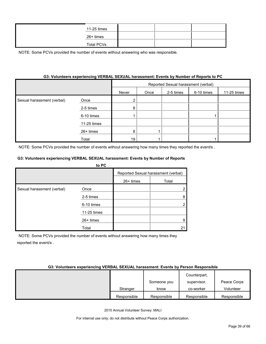| 11-25 times       |  |  |
|-------------------|--|--|
| 26+ times         |  |  |
| <b>Total PCVs</b> |  |  |

#### **G3: Volunteers experiencing VERBAL SEXUAL harassment: Events by Number of Reports to PC**

|                            |             | Reported Sexual harassment (verbal) |      |           |            |             |  |
|----------------------------|-------------|-------------------------------------|------|-----------|------------|-------------|--|
|                            |             | Never                               | Once | 2-5 times | 6-10 times | 11-25 times |  |
| Sexual harassment (verbal) | Once        |                                     |      |           |            |             |  |
|                            | 2-5 times   | 8                                   |      |           |            |             |  |
|                            | 6-10 times  |                                     |      |           |            |             |  |
|                            | 11-25 times |                                     |      |           |            |             |  |
|                            | 26+ times   | 8                                   |      |           |            |             |  |
|                            | Total       | 19                                  |      |           |            |             |  |

NOTE: Some PCVs provided the number of events without answering how many times they reported the event/s .

#### **G3: Volunteers experiencing VERBAL SEXUAL harassment: Events by Number of Reports**

|                            | to PC       |             |                                     |
|----------------------------|-------------|-------------|-------------------------------------|
|                            |             |             | Reported Sexual harassment (verbal) |
|                            |             | $26+$ times | Total                               |
| Sexual harassment (verbal) | Once        |             |                                     |
|                            | 2-5 times   |             | 8                                   |
|                            | 6-10 times  |             |                                     |
|                            | 11-25 times |             |                                     |
|                            | 26+ times   |             | 9                                   |
|                            | Total       |             | 21                                  |

NOTE: Some PCVs provided the number of events without answering how many times they reported the event/s .

#### **G3: Volunteers experiencing VERBAL SEXUAL harassment: Events by Person Responsible**

|             |             | Counterpart, |             |
|-------------|-------------|--------------|-------------|
|             | Someone you | supervisor,  | Peace Corps |
| Stranger    | know        | co-worker    | Volunteer   |
| Responsible | Responsible | Responsible  | Responsible |

2010 Annual Volunteer Survey: MALI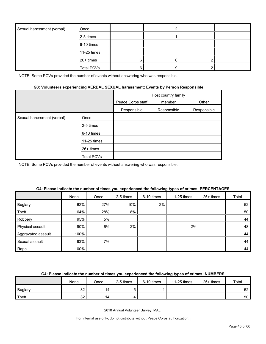| Sexual harassment (verbal) | Once              |   |   |  |
|----------------------------|-------------------|---|---|--|
|                            | 2-5 times         |   |   |  |
|                            | 6-10 times        |   |   |  |
|                            | 11-25 times       |   |   |  |
|                            | 26+ times         | 6 | 6 |  |
|                            | <b>Total PCVs</b> |   |   |  |

#### **G3: Volunteers experiencing VERBAL SEXUAL harassment: Events by Person Responsible**

|                            |             | Peace Corps staff | Host country family<br>member | Other       |
|----------------------------|-------------|-------------------|-------------------------------|-------------|
|                            |             | Responsible       | Responsible                   | Responsible |
| Sexual harassment (verbal) | Once        |                   |                               |             |
|                            | 2-5 times   |                   |                               |             |
|                            | 6-10 times  |                   |                               |             |
|                            | 11-25 times |                   |                               |             |
|                            | $26+$ times |                   |                               |             |
|                            | Total PCVs  |                   |                               |             |

NOTE: Some PCVs provided the number of events without answering who was responsible.

|                    | None | Once | 2-5 times | 6-10 times | 11-25 times | 26+ times | Total |
|--------------------|------|------|-----------|------------|-------------|-----------|-------|
| <b>Buglary</b>     | 62%  | 27%  | 10%       | 2%         |             |           | 52    |
| Theft              | 64%  | 28%  | 8%        |            |             |           | 50    |
| Robbery            | 95%  | 5%   |           |            |             |           | 44    |
| Physical assault   | 90%  | 6%   | 2%        |            | 2%          |           | 48    |
| Aggravated assault | 100% |      |           |            |             |           | 44    |
| Sexual assault     | 93%  | 7%   |           |            |             |           | 44    |
| Rape               | 100% |      |           |            |             |           | 44    |

#### **G4: Please indicate the number of times you experienced the following types of crimes: PERCENTAGES**

#### **G4: Please indicate the number of times you experienced the following types of crimes: NUMBERS**

|                | None      | Once | 2-5 times | 6-10 times | 11-25 times | $26+$ times | Total           |
|----------------|-----------|------|-----------|------------|-------------|-------------|-----------------|
| <b>Buglary</b> | nn<br>ັບ∠ | 14   |           |            |             |             | 52 I            |
| Theft          | nn<br>ےں  | 14   |           |            |             |             | 50 <sub>1</sub> |

2010 Annual Volunteer Survey: MALI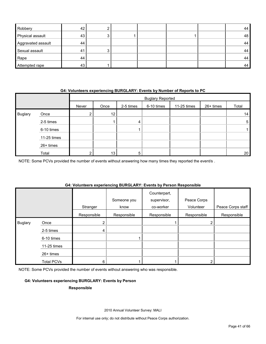| Robbery            | 42 |  |  | 44 |
|--------------------|----|--|--|----|
| Physical assault   | 43 |  |  | 48 |
| Aggravated assault | 44 |  |  | 44 |
| Sexual assault     | 41 |  |  | 44 |
| Rape               | 44 |  |  | 44 |
| Attempted rape     | 43 |  |  | 44 |

#### **G4: Volunteers experiencing BURGLARY: Events by Number of Reports to PC**

|                |             |                 | <b>Buglary Reported</b> |           |            |             |           |       |
|----------------|-------------|-----------------|-------------------------|-----------|------------|-------------|-----------|-------|
|                |             | Never           | Once                    | 2-5 times | 6-10 times | 11-25 times | 26+ times | Total |
| <b>Buglary</b> | Once        | ◠<br>$\epsilon$ | 12                      |           |            |             |           | 14    |
|                | 2-5 times   |                 |                         | 4         |            |             |           | 5     |
|                | 6-10 times  |                 |                         |           |            |             |           |       |
|                | 11-25 times |                 |                         |           |            |             |           |       |
|                | 26+ times   |                 |                         |           |            |             |           |       |
|                | Total       | ົ               | 13                      | 5         |            |             |           | 20    |

NOTE: Some PCVs provided the number of events without answering how many times they reported the event/s .

#### **G4: Volunteers experiencing BURGLARY: Events by Person Responsible**

|                |                   | Stranger    | Someone you<br>know | Counterpart,<br>supervisor,<br>co-worker | Peace Corps<br>Volunteer | Peace Corps staff |
|----------------|-------------------|-------------|---------------------|------------------------------------------|--------------------------|-------------------|
|                |                   | Responsible | Responsible         | Responsible                              | Responsible              | Responsible       |
| <b>Buglary</b> | Once              | 2           |                     |                                          |                          |                   |
|                | 2-5 times         | 4           |                     |                                          |                          |                   |
|                | 6-10 times        |             |                     |                                          |                          |                   |
|                | 11-25 times       |             |                     |                                          |                          |                   |
|                | $26+$ times       |             |                     |                                          |                          |                   |
|                | <b>Total PCVs</b> | 6           |                     |                                          |                          |                   |

NOTE: Some PCVs provided the number of events without answering who was responsible.

#### **G4: Volunteers experiencing BURGLARY: Events by Person**

#### **Responsible**

2010 Annual Volunteer Survey: MALI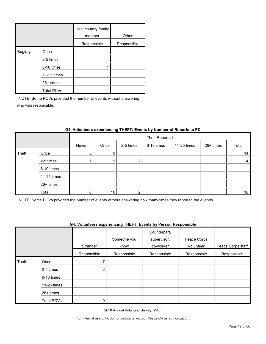|                |                   | Host country family<br>member | Other       |
|----------------|-------------------|-------------------------------|-------------|
|                |                   | Responsible                   | Responsible |
| <b>Buglary</b> | Once              |                               |             |
|                | 2-5 times         |                               |             |
|                | 6-10 times        |                               |             |
|                | 11-25 times       |                               |             |
|                | $26+$ times       |                               |             |
|                | <b>Total PCVs</b> |                               |             |

|       |             |       | Theft Reported |           |            |             |           |                |
|-------|-------------|-------|----------------|-----------|------------|-------------|-----------|----------------|
|       |             | Never | Once           | 2-5 times | 6-10 times | 11-25 times | 26+ times | Total          |
| Theft | Once        | 5     | 9              |           |            |             |           | 14             |
|       | 2-5 times   |       |                | ົ         |            |             |           | $\overline{4}$ |
|       | 6-10 times  |       |                |           |            |             |           |                |
|       | 11-25 times |       |                |           |            |             |           |                |
|       | 26+ times   |       |                |           |            |             |           |                |
|       | Total       | 6     | 10             | ົ         |            |             |           | 18             |

#### **G4: Volunteers experiencing THEFT: Events by Number of Reports to PC**

NOTE: Some PCVs provided the number of events without answering how many times they reported the event/s.

#### **G4: Volunteers experiencing THEFT: Events by Person Responsible**

|       |                   |                | Someone you | Counterpart,<br>supervisor, | Peace Corps |                   |
|-------|-------------------|----------------|-------------|-----------------------------|-------------|-------------------|
|       |                   | Stranger       | know        | co-worker                   | Volunteer   | Peace Corps staff |
|       |                   | Responsible    | Responsible | Responsible                 | Responsible | Responsible       |
| Theft | Once              |                |             |                             |             |                   |
|       | 2-5 times         | 2 <sub>1</sub> |             |                             |             |                   |
|       | 6-10 times        |                |             |                             |             |                   |
|       | 11-25 times       |                |             |                             |             |                   |
|       | $26+$ times       |                |             |                             |             |                   |
|       | <b>Total PCVs</b> | 9              |             |                             |             |                   |

2010 Annual Volunteer Survey: MALI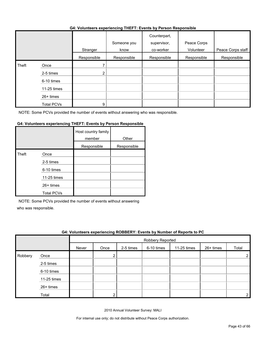#### **G4: Volunteers experiencing THEFT: Events by Person Responsible**

|       |                   |             | . <b>.</b>          |                                          |                          |                   |
|-------|-------------------|-------------|---------------------|------------------------------------------|--------------------------|-------------------|
|       |                   | Stranger    | Someone you<br>know | Counterpart,<br>supervisor,<br>co-worker | Peace Corps<br>Volunteer | Peace Corps staff |
|       |                   | Responsible | Responsible         | Responsible                              | Responsible              | Responsible       |
| Theft | Once              |             |                     |                                          |                          |                   |
|       | 2-5 times         | 2           |                     |                                          |                          |                   |
|       | 6-10 times        |             |                     |                                          |                          |                   |
|       | 11-25 times       |             |                     |                                          |                          |                   |
|       | 26+ times         |             |                     |                                          |                          |                   |
|       | <b>Total PCVs</b> | 9           |                     |                                          |                          |                   |

NOTE: Some PCVs provided the number of events without answering who was responsible.

#### **G4: Volunteers experiencing THEFT: Events by Person Responsible**

|       |                   | Host country family<br>member | Other       |
|-------|-------------------|-------------------------------|-------------|
|       |                   | Responsible                   | Responsible |
| Theft | Once              |                               |             |
|       | 2-5 times         |                               |             |
|       | 6-10 times        |                               |             |
|       | 11-25 times       |                               |             |
|       | 26+ times         |                               |             |
|       | <b>Total PCVs</b> |                               |             |

NOTE: Some PCVs provided the number of events without answering

who was responsible.

|         | G4: Volunteers experiencing ROBBERY: Events by Number of Reports to PC |       |                  |           |            |             |             |       |
|---------|------------------------------------------------------------------------|-------|------------------|-----------|------------|-------------|-------------|-------|
|         |                                                                        |       | Robbery Reported |           |            |             |             |       |
|         |                                                                        | Never | Once             | 2-5 times | 6-10 times | 11-25 times | $26+$ times | Total |
| Robbery | Once                                                                   |       |                  |           |            |             |             |       |
|         | 2-5 times                                                              |       |                  |           |            |             |             |       |
|         | 6-10 times                                                             |       |                  |           |            |             |             |       |
|         | 11-25 times                                                            |       |                  |           |            |             |             |       |
|         | 26+ times                                                              |       |                  |           |            |             |             |       |
|         | Total                                                                  |       |                  |           |            |             |             |       |

2010 Annual Volunteer Survey: MALI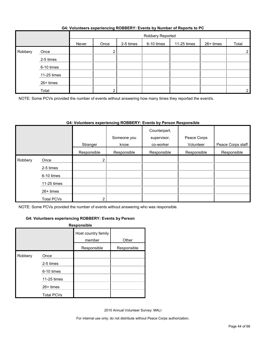|         |             |       | Robbery Reported |           |            |             |           |                |
|---------|-------------|-------|------------------|-----------|------------|-------------|-----------|----------------|
|         |             | Never | Once             | 2-5 times | 6-10 times | 11-25 times | 26+ times | Total          |
| Robbery | Once        |       |                  |           |            |             |           | $\overline{2}$ |
|         | 2-5 times   |       |                  |           |            |             |           |                |
|         | 6-10 times  |       |                  |           |            |             |           |                |
|         | 11-25 times |       |                  |           |            |             |           |                |
|         | 26+ times   |       |                  |           |            |             |           |                |
|         | Total       |       |                  |           |            |             |           | 2 <sub>1</sub> |

#### **G4: Volunteers experiencing ROBBERY: Events by Number of Reports to PC**

NOTE: Some PCVs provided the number of events without answering how many times they reported the event/s.

#### **G4: Volunteers experiencing ROBBERY: Events by Person Responsible**

|         |             |                         | Someone you<br>know | Counterpart,<br>supervisor,<br>co-worker | Peace Corps<br>Volunteer | Peace Corps staff |
|---------|-------------|-------------------------|---------------------|------------------------------------------|--------------------------|-------------------|
|         |             | Stranger<br>Responsible | Responsible         | Responsible                              | Responsible              | Responsible       |
| Robbery | Once        | 2 <sub>1</sub>          |                     |                                          |                          |                   |
|         | 2-5 times   |                         |                     |                                          |                          |                   |
|         | 6-10 times  |                         |                     |                                          |                          |                   |
|         | 11-25 times |                         |                     |                                          |                          |                   |
|         | 26+ times   |                         |                     |                                          |                          |                   |
|         | Total PCVs  | ົ                       |                     |                                          |                          |                   |

NOTE: Some PCVs provided the number of events without answering who was responsible.

#### **G4: Volunteers experiencing ROBBERY: Events by Person**

|         |                   | Responsible                   |             |
|---------|-------------------|-------------------------------|-------------|
|         |                   | Host country family<br>member | Other       |
|         |                   | Responsible                   | Responsible |
| Robbery | Once              |                               |             |
|         | 2-5 times         |                               |             |
|         | 6-10 times        |                               |             |
|         | 11-25 times       |                               |             |
|         | 26+ times         |                               |             |
|         | <b>Total PCVs</b> |                               |             |

2010 Annual Volunteer Survey: MALI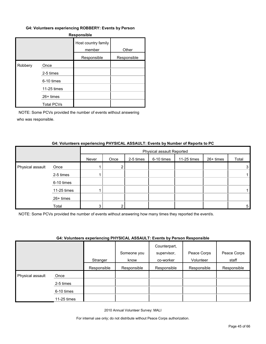#### **G4: Volunteers experiencing ROBBERY: Events by Person**

| Responsible |                   |                               |             |  |  |  |
|-------------|-------------------|-------------------------------|-------------|--|--|--|
|             |                   | Host country family<br>member | Other       |  |  |  |
|             |                   | Responsible                   | Responsible |  |  |  |
| Robbery     | Once              |                               |             |  |  |  |
|             | 2-5 times         |                               |             |  |  |  |
|             | 6-10 times        |                               |             |  |  |  |
|             | 11-25 times       |                               |             |  |  |  |
|             | 26+ times         |                               |             |  |  |  |
|             | <b>Total PCVs</b> |                               |             |  |  |  |

NOTE: Some PCVs provided the number of events without answering who was responsible.

#### **G4: Volunteers experiencing PHYSICAL ASSAULT: Events by Number of Reports to PC**

|                  |             | Physical assault Reported |      |           |            |             |           |       |
|------------------|-------------|---------------------------|------|-----------|------------|-------------|-----------|-------|
|                  |             | Never                     | Once | 2-5 times | 6-10 times | 11-25 times | 26+ times | Total |
| Physical assault | Once        |                           |      |           |            |             |           | 3     |
|                  | 2-5 times   |                           |      |           |            |             |           |       |
|                  | 6-10 times  |                           |      |           |            |             |           |       |
|                  | 11-25 times |                           |      |           |            |             |           |       |
|                  | 26+ times   |                           |      |           |            |             |           |       |
|                  | Total       |                           |      |           |            |             |           | 5     |

NOTE: Some PCVs provided the number of events without answering how many times they reported the event/s.

#### **G4: Volunteers experiencing PHYSICAL ASSAULT: Events by Person Responsible**

|                  |             | . . <b>.</b> | Someone you | .<br>Counterpart,<br>supervisor, | Peace Corps | Peace Corps |
|------------------|-------------|--------------|-------------|----------------------------------|-------------|-------------|
|                  |             |              |             |                                  |             |             |
|                  |             | Stranger     | know        | co-worker                        | Volunteer   | staff       |
|                  |             | Responsible  | Responsible | Responsible                      | Responsible | Responsible |
| Physical assault | Once        |              |             |                                  |             |             |
|                  | 2-5 times   |              |             |                                  |             |             |
|                  | 6-10 times  |              |             |                                  |             |             |
|                  | 11-25 times |              |             |                                  |             |             |

2010 Annual Volunteer Survey: MALI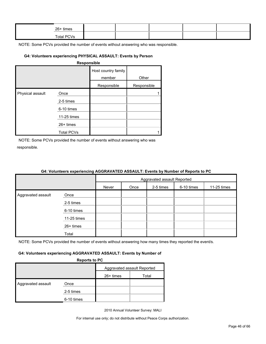| 26+ times         |  |  |  |
|-------------------|--|--|--|
| <b>Total PCVs</b> |  |  |  |

#### **G4: Volunteers experiencing PHYSICAL ASSAULT: Events by Person**

|                  |                   | Host country family<br>member | Other       |
|------------------|-------------------|-------------------------------|-------------|
|                  |                   | Responsible                   | Responsible |
| Physical assault | Once              |                               |             |
|                  | 2-5 times         |                               |             |
|                  | 6-10 times        |                               |             |
|                  | 11-25 times       |                               |             |
|                  | 26+ times         |                               |             |
|                  | <b>Total PCVs</b> |                               |             |

NOTE: Some PCVs provided the number of events without answering who was responsible.

|                    |             | 04. VOIDINGERS EXPERIENCING AGGRAVATED ASSAULT. EVENTS BY NUMBER OF REPORTS TO PU |      |           |            |             |
|--------------------|-------------|-----------------------------------------------------------------------------------|------|-----------|------------|-------------|
|                    |             | Aggravated assault Reported                                                       |      |           |            |             |
|                    |             | Never                                                                             | Once | 2-5 times | 6-10 times | 11-25 times |
| Aggravated assault | Once        |                                                                                   |      |           |            |             |
|                    | 2-5 times   |                                                                                   |      |           |            |             |
|                    | 6-10 times  |                                                                                   |      |           |            |             |
|                    | 11-25 times |                                                                                   |      |           |            |             |
|                    | $26+$ times |                                                                                   |      |           |            |             |
|                    | Total       |                                                                                   |      |           |            |             |

## **G4: Volunteers experiencing AGGRAVATED ASSAULT: Events by Number of Reports to PC**

NOTE: Some PCVs provided the number of events without answering how many times they reported the event/s.

#### **G4: Volunteers experiencing AGGRAVATED ASSAULT: Events by Number of**

**Reports to PC**

|                    |            | -- <b>-</b> - - - - -       |       |
|--------------------|------------|-----------------------------|-------|
|                    |            | Aggravated assault Reported |       |
|                    |            | 26+ times                   | Total |
| Aggravated assault | Once       |                             |       |
|                    | 2-5 times  |                             |       |
|                    | 6-10 times |                             |       |

2010 Annual Volunteer Survey: MALI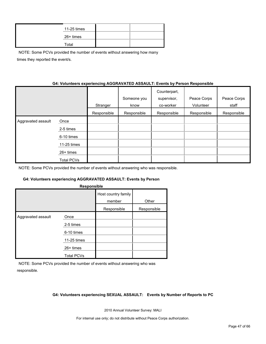| 11-25 times |  |
|-------------|--|
| 26+ times   |  |
| Total       |  |

NOTE: Some PCVs provided the number of events without answering how many times they reported the event/s.

#### **G4: Volunteers experiencing AGGRAVATED ASSAULT: Events by Person Responsible**

|                    |             | Stranger    | Someone you<br>know | Counterpart,<br>supervisor,<br>co-worker | Peace Corps<br>Volunteer | Peace Corps<br>staff |
|--------------------|-------------|-------------|---------------------|------------------------------------------|--------------------------|----------------------|
|                    |             | Responsible | Responsible         | Responsible                              | Responsible              | Responsible          |
| Aggravated assault | Once        |             |                     |                                          |                          |                      |
|                    | 2-5 times   |             |                     |                                          |                          |                      |
|                    | 6-10 times  |             |                     |                                          |                          |                      |
|                    | 11-25 times |             |                     |                                          |                          |                      |
|                    | 26+ times   |             |                     |                                          |                          |                      |
|                    | Total PCVs  |             |                     |                                          |                          |                      |

NOTE: Some PCVs provided the number of events without answering who was responsible.

#### **G4: Volunteers experiencing AGGRAVATED ASSAULT: Events by Person**

| Host country family<br>member<br>Other<br>Responsible<br>Responsible<br>Aggravated assault<br>Once | Responsible |  |  |  |  |  |  |
|----------------------------------------------------------------------------------------------------|-------------|--|--|--|--|--|--|
|                                                                                                    |             |  |  |  |  |  |  |
|                                                                                                    |             |  |  |  |  |  |  |
|                                                                                                    |             |  |  |  |  |  |  |
| 2-5 times                                                                                          |             |  |  |  |  |  |  |
| 6-10 times                                                                                         |             |  |  |  |  |  |  |
| 11-25 times                                                                                        |             |  |  |  |  |  |  |
| 26+ times                                                                                          |             |  |  |  |  |  |  |
| <b>Total PCVs</b>                                                                                  |             |  |  |  |  |  |  |

NOTE: Some PCVs provided the number of events without answering who was responsible.

#### **G4: Volunteers experiencing SEXUAL ASSAULT: Events by Number of Reports to PC**

2010 Annual Volunteer Survey: MALI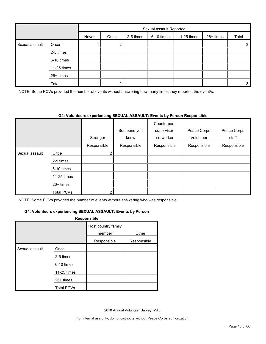|                |             |       | Sexual assault Reported |           |            |             |           |       |
|----------------|-------------|-------|-------------------------|-----------|------------|-------------|-----------|-------|
|                |             | Never | Once                    | 2-5 times | 6-10 times | 11-25 times | 26+ times | Total |
| Sexual assault | Once        |       | ົ                       |           |            |             |           | 3     |
|                | 2-5 times   |       |                         |           |            |             |           |       |
|                | 6-10 times  |       |                         |           |            |             |           |       |
|                | 11-25 times |       |                         |           |            |             |           |       |
|                | 26+ times   |       |                         |           |            |             |           |       |
|                | Total       |       | ົ                       |           |            |             |           | 3     |

NOTE: Some PCVs provided the number of events without answering how many times they reported the event/s.

#### **G4: Volunteers experiencing SEXUAL ASSAULT: Events by Person Responsible**

|                |                   |             | Someone you | Counterpart,<br>supervisor, | Peace Corps | Peace Corps |
|----------------|-------------------|-------------|-------------|-----------------------------|-------------|-------------|
|                |                   | Stranger    | know        | co-worker                   | Volunteer   | staff       |
|                |                   | Responsible | Responsible | Responsible                 | Responsible | Responsible |
| Sexual assault | Once              | 2           |             |                             |             |             |
|                | 2-5 times         |             |             |                             |             |             |
|                | 6-10 times        |             |             |                             |             |             |
|                | 11-25 times       |             |             |                             |             |             |
|                | $26+$ times       |             |             |                             |             |             |
|                | <b>Total PCVs</b> | າ           |             |                             |             |             |

NOTE: Some PCVs provided the number of events without answering who was responsible.

#### **G4: Volunteers experiencing SEXUAL ASSAULT: Events by Person**

#### **Responsible**

|                |                   | Host country family<br>member | Other       |
|----------------|-------------------|-------------------------------|-------------|
|                |                   | Responsible                   | Responsible |
| Sexual assault | Once              |                               |             |
|                | 2-5 times         |                               |             |
|                | 6-10 times        |                               |             |
|                | 11-25 times       |                               |             |
|                | 26+ times         |                               |             |
|                | <b>Total PCVs</b> |                               |             |

2010 Annual Volunteer Survey: MALI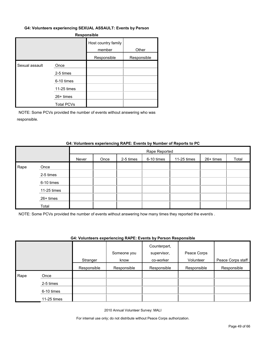#### **G4: Volunteers experiencing SEXUAL ASSAULT: Events by Person**

#### **Responsible**

|                |                   | Host country family<br>member | Other       |
|----------------|-------------------|-------------------------------|-------------|
|                |                   | Responsible                   | Responsible |
| Sexual assault | Once              |                               |             |
|                | 2-5 times         |                               |             |
|                | 6-10 times        |                               |             |
|                | 11-25 times       |                               |             |
|                | $26+$ times       |                               |             |
|                | <b>Total PCVs</b> |                               |             |

NOTE: Some PCVs provided the number of events without answering who was responsible.

#### **G4: Volunteers experiencing RAPE: Events by Number of Reports to PC**

|      |             |       | Rape Reported |           |            |             |           |       |  |  |  |
|------|-------------|-------|---------------|-----------|------------|-------------|-----------|-------|--|--|--|
|      |             | Never | Once          | 2-5 times | 6-10 times | 11-25 times | 26+ times | Total |  |  |  |
| Rape | Once        |       |               |           |            |             |           |       |  |  |  |
|      | 2-5 times   |       |               |           |            |             |           |       |  |  |  |
|      | 6-10 times  |       |               |           |            |             |           |       |  |  |  |
|      | 11-25 times |       |               |           |            |             |           |       |  |  |  |
|      | 26+ times   |       |               |           |            |             |           |       |  |  |  |
|      | Total       |       |               |           |            |             |           |       |  |  |  |

NOTE: Some PCVs provided the number of events without answering how many times they reported the event/s .

#### **G4: Volunteers experiencing RAPE: Events by Person Responsible**

|      |             | Stranger    | Someone you<br>know | Counterpart,<br>supervisor,<br>co-worker | Peace Corps<br>Volunteer | Peace Corps staff |
|------|-------------|-------------|---------------------|------------------------------------------|--------------------------|-------------------|
|      |             | Responsible | Responsible         | Responsible                              | Responsible              | Responsible       |
| Rape | Once        |             |                     |                                          |                          |                   |
|      | 2-5 times   |             |                     |                                          |                          |                   |
|      | 6-10 times  |             |                     |                                          |                          |                   |
|      | 11-25 times |             |                     |                                          |                          |                   |

2010 Annual Volunteer Survey: MALI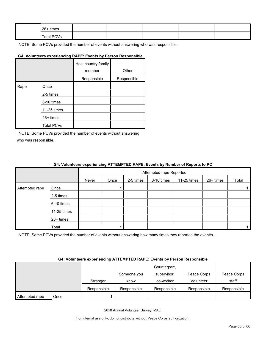| 26+ times  |  |  |  |
|------------|--|--|--|
| Total PCVs |  |  |  |

#### **G4: Volunteers experiencing RAPE: Events by Person Responsible**

|      |                   | Host country family<br>member | Other       |
|------|-------------------|-------------------------------|-------------|
|      |                   | Responsible                   | Responsible |
| Rape | Once              |                               |             |
|      | 2-5 times         |                               |             |
|      | 6-10 times        |                               |             |
|      | 11-25 times       |                               |             |
|      | 26+ times         |                               |             |
|      | <b>Total PCVs</b> |                               |             |

NOTE: Some PCVs provided the number of events without answering who was responsible.

#### **G4: Volunteers experiencing ATTEMPTED RAPE: Events by Number of Reports to PC**

|                |             |       | Attempted rape Reported |           |            |             |           |       |  |  |  |
|----------------|-------------|-------|-------------------------|-----------|------------|-------------|-----------|-------|--|--|--|
|                |             | Never | Once                    | 2-5 times | 6-10 times | 11-25 times | 26+ times | Total |  |  |  |
| Attempted rape | Once        |       |                         |           |            |             |           |       |  |  |  |
|                | 2-5 times   |       |                         |           |            |             |           |       |  |  |  |
|                | 6-10 times  |       |                         |           |            |             |           |       |  |  |  |
|                | 11-25 times |       |                         |           |            |             |           |       |  |  |  |
|                | 26+ times   |       |                         |           |            |             |           |       |  |  |  |
|                | Total       |       |                         |           |            |             |           |       |  |  |  |

NOTE: Some PCVs provided the number of events without answering how many times they reported the event/s.

#### **G4: Volunteers experiencing ATTEMPTED RAPE: Events by Person Responsible**

|                |      |             | Someone you | Counterpart,<br>supervisor, | Peace Corps | Peace Corps |
|----------------|------|-------------|-------------|-----------------------------|-------------|-------------|
|                |      | Stranger    | know        | co-worker                   | Volunteer   | staff       |
|                |      | Responsible | Responsible | Responsible                 | Responsible | Responsible |
| Attempted rape | Once |             |             |                             |             |             |

2010 Annual Volunteer Survey: MALI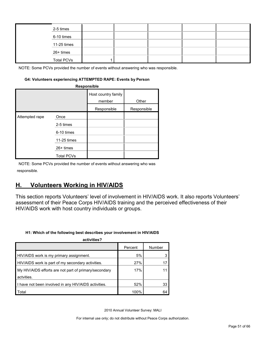| 2-5 times         |  |  |  |
|-------------------|--|--|--|
| 6-10 times        |  |  |  |
| 11-25 times       |  |  |  |
| 26+ times         |  |  |  |
| <b>Total PCVs</b> |  |  |  |

#### **G4: Volunteers experiencing ATTEMPTED RAPE: Events by Person**

| Responsible    |                   |                               |             |  |  |  |  |  |  |
|----------------|-------------------|-------------------------------|-------------|--|--|--|--|--|--|
|                |                   | Host country family<br>member | Other       |  |  |  |  |  |  |
|                |                   | Responsible                   | Responsible |  |  |  |  |  |  |
| Attempted rape | Once              |                               |             |  |  |  |  |  |  |
|                | 2-5 times         |                               |             |  |  |  |  |  |  |
|                | 6-10 times        |                               |             |  |  |  |  |  |  |
|                | 11-25 times       |                               |             |  |  |  |  |  |  |
|                | $26+$ times       |                               |             |  |  |  |  |  |  |
|                | <b>Total PCVs</b> |                               |             |  |  |  |  |  |  |

NOTE: Some PCVs provided the number of events without answering who was responsible.

## <span id="page-50-0"></span>**H. Volunteers Working in HIV/AIDS**

This section reports Volunteers' level of involvement in HIV/AIDS work. It also reports Volunteers' assessment of their Peace Corps HIV/AIDS training and the perceived effectiveness of their HIV/AIDS work with host country individuals or groups.

#### **H1: Which of the following best describes your involvement in HIV/AIDS**

| activities?                                           |         |        |
|-------------------------------------------------------|---------|--------|
|                                                       | Percent | Number |
| HIV/AIDS work is my primary assignment.               | 5%      |        |
| HIV/AIDS work is part of my secondary activities.     | 27%     |        |
| My HIV/AIDS efforts are not part of primary/secondary | 17%     |        |
| actvities.                                            |         |        |
| I have not been involved in any HIV/AIDS activities.  | 52%     | 33     |
| Total                                                 | 100%    | 64     |

2010 Annual Volunteer Survey: MALI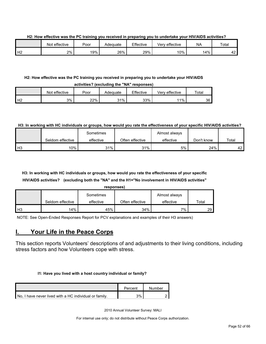**H2: How effective was the PC training you received in preparing you to undertake your HIV/AIDS activities?**

|    | Not effective | Poor | Adeɑuate | Effective | Very effective | <b>NA</b> | Total         |
|----|---------------|------|----------|-----------|----------------|-----------|---------------|
| Н2 | $2\%$         | 19%  | 26%      | 29%       | 10%            | 14%       | $\sim$<br>т∠. |

#### **H2: How effective was the PC training you received in preparing you to undertake your HIV/AIDS activities? (excluding the "NA" responses)**

|                    | Not effective | Poor | Adeɑuate | Effective | Verv effective | $\tau$ otal |  |  |  |  |
|--------------------|---------------|------|----------|-----------|----------------|-------------|--|--|--|--|
| $H^{\sigma}$<br>╶╹ | 3%            | 22%  | 31%      | 33%       | 11%            | 36          |  |  |  |  |

#### **H3: In working with HC individuals or groups, how would you rate the effectiveness of your specific HIV/AIDS activities?**

|                |                  | Sometimes |                 | Almost always |            |       |
|----------------|------------------|-----------|-----------------|---------------|------------|-------|
|                | Seldom effective | effective | Often effective | effective     | Don't know | Total |
| H <sub>3</sub> | 10%              | 31%       | 31%             | 5%            | 24%        | 42    |

## **H3: In working with HC individuals or groups, how would you rate the effectiveness of your specific HIV/AIDS activities? (excluding both the "NA" and the H1="No involvement in HIV/AIDS activities"**

|    |                  | responses) |                 |               |       |
|----|------------------|------------|-----------------|---------------|-------|
|    |                  | Sometimes  |                 | Almost always |       |
|    | Seldom effective | effective  | Often effective | effective     | Total |
| H3 | 14%              | 45%        | 34%             | 7%            | 29    |

NOTE: See Open-Ended Responses Report for PCV explanations and examples of their H3 answers)

## <span id="page-51-0"></span>**I. Your Life in the Peace Corps**

This section reports Volunteers' descriptions of and adjustments to their living conditions, including stress factors and how Volunteers cope with stress.

#### **I1: Have you lived with a host country individual or family?**

|                                                        | Percent | Number |
|--------------------------------------------------------|---------|--------|
| No. I have never lived with a HC individual or family. | 3%      |        |

2010 Annual Volunteer Survey: MALI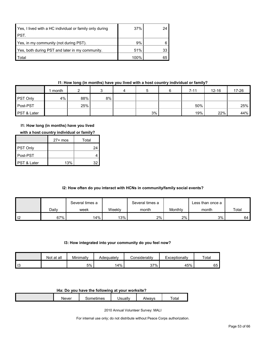| Yes, I lived with a HC individual or family only during | 37%  | 24 |
|---------------------------------------------------------|------|----|
| PST.                                                    |      |    |
| Yes, in my community (not during PST).                  | 9%   |    |
| Yes, both during PST and later in my community.         | 51%  | 33 |
| <b>Total</b>                                            | 100% | 65 |

#### **I1: How long (in months) have you lived with a host country individual or family?**

|                 | month |     |    | 4 |    | $7 - 11$ | $12 - 16$ | $17 - 26$ |
|-----------------|-------|-----|----|---|----|----------|-----------|-----------|
| <b>PST Only</b> | 4%    | 88% | 8% |   |    |          |           |           |
| Post-PST        |       | 25% |    |   |    | 50%      |           | 25%       |
| PST & Later     |       |     |    |   | 3% | 19%      | 22%       | 44%       |

#### **I1: How long (in months) have you lived**

|  | with a host country individual or family? |
|--|-------------------------------------------|
|--|-------------------------------------------|

|                        | $27+$ mos | Total |
|------------------------|-----------|-------|
| <b>PST Only</b>        |           | 24    |
| l Post-PST             |           |       |
| <b>PST &amp; Later</b> | 13%       | 32    |

#### **I2: How often do you interact with HCNs in community/family social events?**

|      |       | Several times a |        | Several times a |         | Less than once a |       |
|------|-------|-----------------|--------|-----------------|---------|------------------|-------|
|      | Daily | week            | Weekly | month           | Monthly | month            | Total |
| l 12 | 67%   | $14\%$          | $13\%$ | 2%              | $2\%$   | 3%               | 64 l  |

#### **I3: How integrated into your community do you feel now?**

|    | Not at all | Minimally | Adequatelv | onsiderablyٽ | Exceptionally | Total |
|----|------------|-----------|------------|--------------|---------------|-------|
| 13 |            | 5%        | 14%        | 37%          | 45%           | 65    |

#### **I4a: Do you have the following at your worksite?**

| <b>Never</b> | - ---<br>mes<br>⊶பட | Jsuall∗ | \lwavs<br>71 V V | $\overline{\phantom{0}}$<br>otal |
|--------------|---------------------|---------|------------------|----------------------------------|
|              |                     |         |                  |                                  |

2010 Annual Volunteer Survey: MALI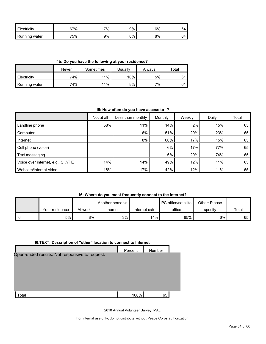| Electricity      | 67% | $7\%$ | 9% | 6% | 64<br>◡᠇ |
|------------------|-----|-------|----|----|----------|
| Running<br>water | 75% | 9%    | 8% | 8% | 64       |

**I4b: Do you have the following at your residence?**

|                      | Never | Sometimes | <b>Jsually</b> | Alwavs | Total |
|----------------------|-------|-----------|----------------|--------|-------|
| <b>Electricity</b>   | 74%   | 11%       | $10\%$         | 5%     | 61    |
| <b>Running water</b> | 74%   | 11%       | 8%             | 7%     | 61    |

#### **I5: How often do you have access to--?**

|                                  | Not at all | Less than monthly | Monthly | Weekly | Daily | Total |
|----------------------------------|------------|-------------------|---------|--------|-------|-------|
| Landline phone                   | 58%        | 11%               | 14%     | 2%     | 15%   | 65'   |
| Computer                         |            | 6%                | 51%     | 20%    | 23%   | 65    |
| Internet                         |            | 8%                | 60%     | 17%    | 15%   | 65    |
| Cell phone (voice)               |            |                   | 6%      | 17%    | 77%   | 65    |
| Text messaging                   |            |                   | 6%      | 20%    | 74%   | 65    |
| Voice over internet, e.g., SKYPE | 14%        | 14%               | 49%     | 12%    | 11%   | 65    |
| Webcam/internet video            | 18%        | 17%               | 42%     | 12%    | 11%   | 65    |

#### **I6: Where do you most frequently connect to the Internet?**

|        |                |         | Another person's |               | <b>I</b> PC office/satellite<br>Other: Please |         |       |
|--------|----------------|---------|------------------|---------------|-----------------------------------------------|---------|-------|
|        | Your residence | At work | home             | Internet cafe | office                                        | specify | Total |
| $ $ 16 | 5%             | 8%      | 3%               | 14%           | 65%                                           | 6%      | 65 I  |

#### **I6.TEXT: Description of "other" location to connect to Internet**

|                                                | Percent | Number |  |
|------------------------------------------------|---------|--------|--|
| Open-ended results. Not responsive to request. |         |        |  |
| Total                                          | 100%    | 65     |  |

2010 Annual Volunteer Survey: MALI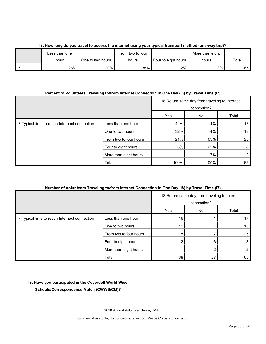| Less than one |                  | From two to four | More than eight       |       |       |  |  |  |
|---------------|------------------|------------------|-----------------------|-------|-------|--|--|--|
| hour          | One to two hours | hours            | Four to eight hours I | hours | Total |  |  |  |
| 26%           | 20%              | 38%              | 12%                   | 3%    | 65 I  |  |  |  |

#### **I7: How long do you travel to access the internet using your typical transport method (one-way trip)?**

#### **Percent of Volunteers Traveling to/from Internet Connection in One Day (I8) by Travel Time (I7)**

|                                               |                        | 18 Return same day from traveling to Internet<br>connection? |      |                 |
|-----------------------------------------------|------------------------|--------------------------------------------------------------|------|-----------------|
|                                               |                        | Yes                                                          | No   | Total           |
| I7 Typical time to reach Internect connection | Less than one hour     | 42%                                                          | 4%   | 17              |
|                                               | One to two hours       | 32%                                                          | 4%   | 13 <sub>1</sub> |
|                                               | From two to four hours | 21%                                                          | 63%  | 25              |
|                                               | Four to eight hours    | 5%                                                           | 22%  | 8               |
|                                               | More than eight hours  |                                                              | 7%   |                 |
|                                               | Total                  | 100%                                                         | 100% | 65              |

#### **Number of Volunteers Traveling to/from Internet Connection in One Day (I8) by Travel Time (I7)**

|                                               |                        | 18 Return same day from traveling to Internet<br>connection? |    |                |
|-----------------------------------------------|------------------------|--------------------------------------------------------------|----|----------------|
|                                               |                        | Yes                                                          | No | Total          |
| I7 Typical time to reach Internect connection | Less than one hour     | 16                                                           |    | 17             |
|                                               | One to two hours       | 12                                                           |    | 13             |
|                                               | From two to four hours | 8                                                            |    | 25             |
|                                               | Four to eight hours    |                                                              | 6  | 8              |
|                                               | More than eight hours  |                                                              |    | $\overline{2}$ |
|                                               | Total                  | 38                                                           | 27 | 65             |

#### **I9: Have you participated in the Coverdell World Wise**

**Schools/Correspondence Match (CWWS/CM)?**

2010 Annual Volunteer Survey: MALI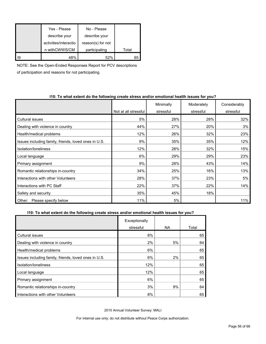|     | Yes - Please          | No - Please       |       |
|-----|-----------------------|-------------------|-------|
|     | describe your         | describe your     |       |
|     | activities/interactio | reason(s) for not |       |
|     | n withCWWS/CM         | participating     | Total |
| 119 | 48%                   | 52%               | 65    |

NOTE: See the Open-Ended Responses Report for PCV descriptions

of participation and reasons for not participating.

#### **I10: To what extent do the following create stress and/or emotional health issues for you?**

|                                                      |                      | Minimally | Moderately | Considerably |
|------------------------------------------------------|----------------------|-----------|------------|--------------|
|                                                      | Not at all stressful | stressful | stressful  | stressful    |
| Cultural issues                                      | 5%                   | 28%       | 28%        | 32%          |
| Dealing with violence in country                     | 44%                  | 27%       | 20%        | 3%           |
| Health/medical problems                              | 12%                  | 26%       | 32%        | 23%          |
| Issues including family, friends, loved ones in U.S. | 9%                   | 35%       | 35%        | 12%          |
| Isolation/Ioneliness                                 | 12%                  | 28%       | 32%        | 15%          |
| Local language                                       | 6%                   | 29%       | 29%        | 23%          |
| Primary assignment                                   | 9%                   | 28%       | 43%        | 14%          |
| Romantic relationships in-country                    | 34%                  | 25%       | 16%        | 13%          |
| Interactions with other Volunteers                   | 28%                  | 37%       | 23%        | 5%           |
| Interactions with PC Staff                           | 22%                  | 37%       | 22%        | 14%          |
| Safety and security                                  | 35%                  | 45%       | 18%        |              |
| Please specify below<br>Other:                       | 11%                  | 5%        |            | 11%          |

#### **I10: To what extent do the following create stress and/or emotional health issues for you?**

|                                                      | Exceptionally |     |       |
|------------------------------------------------------|---------------|-----|-------|
|                                                      | stressful     | NA. | Total |
| <b>Cultural issues</b>                               | 8%            |     | 65    |
| Dealing with violence in country                     | 2%            | 5%  | 64    |
| Health/medical problems                              | 6%            |     | 65    |
| Issues including family, friends, loved ones in U.S. | 6%            | 2%  | 65    |
| Isolation/loneliness                                 | 12%           |     | 65    |
| Local language                                       | 12%           |     | 65    |
| Primary assignment                                   | 6%            |     | 65    |
| Romantic relationships in-country                    | 3%            | 9%  | 64    |
| Interactions with other Volunteers                   | 8%            |     | 65    |

2010 Annual Volunteer Survey: MALI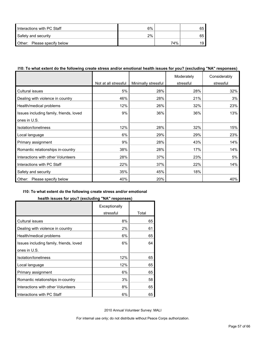| Interactions with PC Staff  | 6% |     | 65 |
|-----------------------------|----|-----|----|
| Safety and security         | 2% |     | 65 |
| Other: Please specify below |    | 74% | 19 |

#### **I10: To what extent do the following create stress and/or emotional health issues for you? (excluding "NA" responses)**

|                                         |                      |                     | Moderately | Considerably |
|-----------------------------------------|----------------------|---------------------|------------|--------------|
|                                         | Not at all stressful | Minimally stressful | stressful  | stressful    |
| Cultural issues                         | 5%                   | 28%                 | 28%        | 32%          |
| Dealing with violence in country        | 46%                  | 28%                 | 21%        | 3%           |
| Health/medical problems                 | 12%                  | 26%                 | 32%        | 23%          |
| Issues including family, friends, loved | 9%                   | 36%                 | 36%        | 13%          |
| ones in U.S.                            |                      |                     |            |              |
| Isolation/Ioneliness                    | 12%                  | 28%                 | 32%        | 15%          |
| Local language                          | 6%                   | 29%                 | 29%        | 23%          |
| Primary assignment                      | 9%                   | 28%                 | 43%        | 14%          |
| Romantic relationships in-country       | 38%                  | 28%                 | 17%        | 14%          |
| Interactions with other Volunteers      | 28%                  | 37%                 | 23%        | 5%           |
| Interactions with PC Staff              | 22%                  | 37%                 | 22%        | 14%          |
| Safety and security                     | 35%                  | 45%                 | 18%        |              |
| Please specify below<br>Other:          | 40%                  | 20%                 |            | 40%          |

#### **I10: To what extent do the following create stress and/or emotional**

#### **health issues for you? (excluding "NA" responses)**

|                                         | Exceptionally |       |
|-----------------------------------------|---------------|-------|
|                                         | stressful     | Total |
| Cultural issues                         | 8%            | 65    |
| Dealing with violence in country        | 2%            | 61    |
| Health/medical problems                 | 6%            | 65    |
| Issues including family, friends, loved | 6%            | 64    |
| ones in U.S.                            |               |       |
| Isolation/loneliness                    | 12%           | 65    |
| Local language                          | 12%           | 65    |
| Primary assignment                      | 6%            | 65    |
| Romantic relationships in-country       | 3%            | 58    |
| Interactions with other Volunteers      | 8%            | 65    |
| Interactions with PC Staff              | 6%            | 65    |

2010 Annual Volunteer Survey: MALI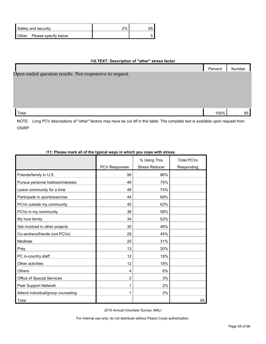| Safety and security         | 2% |  |
|-----------------------------|----|--|
| Other: Please specify below |    |  |

#### **I10.TEXT: Description of "other" stress factor**

|                                                         | Percent | Number |
|---------------------------------------------------------|---------|--------|
| Open-ended question results. Not responsive to request. |         |        |
|                                                         |         |        |
|                                                         |         |        |
|                                                         |         |        |
|                                                         |         |        |
| Total                                                   | 100%    | 65     |

NOTE: Long PCV descriptions of "other" factors may have be cut off in this table. The complete text is available upon request from OSIRP.

| 111: Please mark all of the typical ways in which you cope with stress. |                      |                       |                   |  |  |  |
|-------------------------------------------------------------------------|----------------------|-----------------------|-------------------|--|--|--|
|                                                                         |                      | % Using This          | <b>Total PCVs</b> |  |  |  |
|                                                                         | <b>PCV Responses</b> | <b>Stress Reducer</b> | Responding        |  |  |  |
| Friends/family in U.S.                                                  | 56                   | 86%                   |                   |  |  |  |
| Pursue personal hobbies/interests                                       | 49                   | 75%                   |                   |  |  |  |
| Leave community for a time                                              | 48                   | 74%                   |                   |  |  |  |
| Participate in sports/exercise                                          | 44                   | 68%                   |                   |  |  |  |
| PCVs outside my community                                               | 40                   | 62%                   |                   |  |  |  |
| PCVs in my community                                                    | 38                   | 58%                   |                   |  |  |  |
| My host family                                                          | 34                   | 52%                   |                   |  |  |  |
| Get involved in other projects                                          | 30                   | 46%                   |                   |  |  |  |
| Co-workers/friends (not PCVs)                                           | 29                   | 45%                   |                   |  |  |  |
| Meditate                                                                | 20                   | 31%                   |                   |  |  |  |
| Pray                                                                    | 13                   | 20%                   |                   |  |  |  |
| PC in-country staff                                                     | 12                   | 18%                   |                   |  |  |  |
| Other activities                                                        | 12                   | 18%                   |                   |  |  |  |
| <b>Others</b>                                                           | 4                    | 6%                    |                   |  |  |  |
| Office of Special Services                                              | $\overline{2}$       | 3%                    |                   |  |  |  |
| Peer Support Network                                                    | 1                    | 2%                    |                   |  |  |  |
| Attend individual/group counseling                                      | 1                    | 2%                    |                   |  |  |  |
| Total                                                                   |                      |                       | 65                |  |  |  |

## **I11: Please mark all of the typical ways in which you cope with stress.**

2010 Annual Volunteer Survey: MALI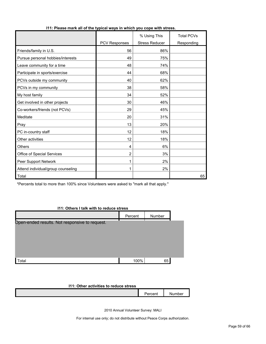|                                    |                | % Using This          | <b>Total PCVs</b> |
|------------------------------------|----------------|-----------------------|-------------------|
|                                    | PCV Responses  | <b>Stress Reducer</b> | Responding        |
| Friends/family in U.S.             | 56             | 86%                   |                   |
| Pursue personal hobbies/interests  | 49             | 75%                   |                   |
| Leave community for a time         | 48             | 74%                   |                   |
| Participate in sports/exercise     | 44             | 68%                   |                   |
| PCVs outside my community          | 40             | 62%                   |                   |
| PCVs in my community               | 38             | 58%                   |                   |
| My host family                     | 34             | 52%                   |                   |
| Get involved in other projects     | 30             | 46%                   |                   |
| Co-workers/friends (not PCVs)      | 29             | 45%                   |                   |
| Meditate                           | 20             | 31%                   |                   |
| Pray                               | 13             | 20%                   |                   |
| PC in-country staff                | 12             | 18%                   |                   |
| Other activities                   | 12             | 18%                   |                   |
| <b>Others</b>                      | 4              | 6%                    |                   |
| Office of Special Services         | $\overline{2}$ | 3%                    |                   |
| Peer Support Network               | 1              | 2%                    |                   |
| Attend individual/group counseling | 1              | 2%                    |                   |
| Total                              |                |                       | 65                |

#### **I11: Please mark all of the typical ways in which you cope with stress.**

\*Percents total to more than 100% since Volunteers were asked to "mark all that apply."

#### **I11: Others I talk with to reduce stress**

|                                                | Percent | Number |  |
|------------------------------------------------|---------|--------|--|
| Open-ended results. Not responsive to request. |         |        |  |
|                                                |         |        |  |
|                                                |         |        |  |
|                                                |         |        |  |
|                                                |         |        |  |
| Total                                          | 100%    | 65     |  |

#### **I11: Other activities to reduce stress**

| . |  |
|---|--|
|   |  |
|   |  |

2010 Annual Volunteer Survey: MALI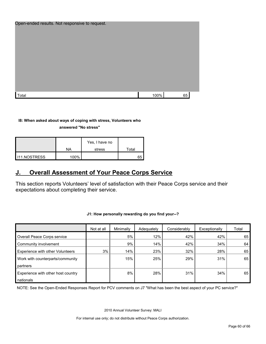| Open-ended results. Not responsive to request. |      |    |  |
|------------------------------------------------|------|----|--|
|                                                |      |    |  |
| Total                                          | 100% | 65 |  |

#### **I8: When asked about ways of coping with stress, Volunteers who**

**answered "No stress"** 

|                       | NA   | Yes, I have no<br>stress | Total |
|-----------------------|------|--------------------------|-------|
|                       |      |                          |       |
| <b>I</b> I11.NOSTRESS | 100% |                          | 65    |

## <span id="page-59-0"></span>**J. Overall Assessment of Your Peace Corps Service**

This section reports Volunteers' level of satisfaction with their Peace Corps service and their expectations about completing their service.

|                                    | Not at all | Minimally | Adequately | Considerably | Exceptionally | Total |
|------------------------------------|------------|-----------|------------|--------------|---------------|-------|
| Overall Peace Corps service        |            | 5%        | 12%        | 42%          | 42%           | 65    |
| Community involvement              |            | 9%        | 14%        | 42%          | 34%           | 64    |
| Experience with other Volunteers   | 3%         | 14%       | 23%        | 32%          | 28%           | 65    |
| Work with counterparts/community   |            | 15%       | 25%        | 29%          | 31%           | 65    |
| partners                           |            |           |            |              |               |       |
| Experience with other host country |            | 8%        | 28%        | 31%          | 34%           | 65 l  |
| nationals                          |            |           |            |              |               |       |

#### **J1: How personally rewarding do you find your--?**

NOTE: See the Open-Ended Responses Report for PCV comments on J7 "What has been the best aspect of your PC service?"

2010 Annual Volunteer Survey: MALI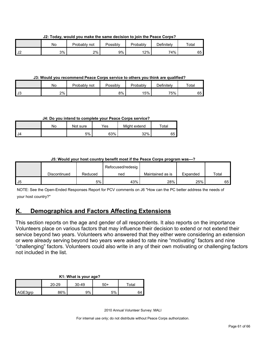**J2: Today, would you make the same decision to join the Peace Corps?**

|    | No | Probably not | Possibly | Probably | Definitely | $\tau$ otal |
|----|----|--------------|----------|----------|------------|-------------|
| ◡∠ | 3% | 2%           | 9%       | 12%      | 74%        | 65 I        |

**J3: Would you recommend Peace Corps service to others you think are qualified?**

|      | Nο | Probably not | Possibly | Probably | $\Delta$ efinitelv | $\tau$ otai |
|------|----|--------------|----------|----------|--------------------|-------------|
| l J3 | 2% |              | 8%       | 15%      | 75%                | 65          |

**J4: Do you intend to complete your Peace Corps service?**

|      | N٥ | Not sure | Yes | Might extend | $\tau$ otal |
|------|----|----------|-----|--------------|-------------|
| I J4 |    | 5%       | 63% | 32%          | 65          |

#### **J5: Would your host country benefit most if the Peace Corps program was---?**

|     |              |         | Refocused/redesig |                  |          |       |
|-----|--------------|---------|-------------------|------------------|----------|-------|
|     | Discontinued | Reduced | ned               | Maintained as is | Expanded | Total |
| -J5 |              | 5%      | 43%               | 28%              | 25%      | 65    |

NOTE: See the Open-Ended Responses Report for PCV comments on J6 "How can the PC better address the needs of your host country?"

## <span id="page-60-0"></span>**K. Demographics and Factors Affecting Extensions**

This section reports on the age and gender of all respondents. It also reports on the importance Volunteers place on various factors that may influence their decision to extend or not extend their service beyond two years. Volunteers who answered that they either were considering an extension or were already serving beyond two years were asked to rate nine "motivating" factors and nine "challenging" factors. Volunteers could also write in any of their own motivating or challenging factors not included in the list.

## **K1: What is your age?**

|         | 20-29      | $30 - 49$ | 50+ | ⊤ota⊩ |
|---------|------------|-----------|-----|-------|
| AGE3qrp | <b>96%</b> | 9%        | 5%  | o٤    |

2010 Annual Volunteer Survey: MALI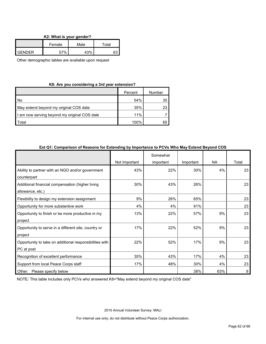|  | K2: What is your gender? |  |  |  |  |
|--|--------------------------|--|--|--|--|
|--|--------------------------|--|--|--|--|

|               | Female | Male | Total |
|---------------|--------|------|-------|
| <b>GENDER</b> | 57%    | 43%  |       |

Other demographic tables are available upon request

#### **K8: Are you considering a 3rd year extension?**

|                                              | Percent | Number |
|----------------------------------------------|---------|--------|
| No                                           | 54%     | 35     |
| May extend beyond my original COS date       | 35%     | 23     |
| I am now serving beyond my original COS date | 11%     |        |
| ⊺otal                                        | 100%    | 65     |

|                                                                       | Not Important | Somewhat<br>important | Important | <b>NA</b> | Total |
|-----------------------------------------------------------------------|---------------|-----------------------|-----------|-----------|-------|
| Ability to partner with an NGO and/or government<br>counterpart       | 43%           | 22%                   | 30%       | 4%        | 23    |
| Additional financial compensation (higher living<br>allowance, etc.)  | 30%           | 43%                   | 26%       |           | 23    |
| Flexibility to design my extension assignment                         | 9%            | 26%                   | 65%       |           | 23    |
| Opportunity for more substantive work                                 | 4%            | 4%                    | 91%       |           | 23    |
| Opportunity to finish or be more productive in my<br>project          | 13%           | 22%                   | 57%       | 9%        | 23    |
| Opportunity to serve in a different site, country or<br>project       | 17%           | 22%                   | 52%       | 9%        | 23    |
| Opportunity to take on additional responsibilities with<br>PC at post | 22%           | 52%                   | 17%       | 9%        | 23    |
| Recognition of excellent performance                                  | 35%           | 43%                   | 17%       | 4%        | 23    |
| Support from local Peace Corps staff                                  | 17%           | 48%                   | 30%       | 4%        | 23    |
| Other: Please specify below                                           |               |                       | 38%       | 63%       | 8     |

#### **Ext Q1: Comparison of Reasons for Extending by Importance to PCVs Who May Extend Beyond COS**

NOTE: This table includes only PCVs who answered K8="May extend beyond my original COS date"

2010 Annual Volunteer Survey: MALI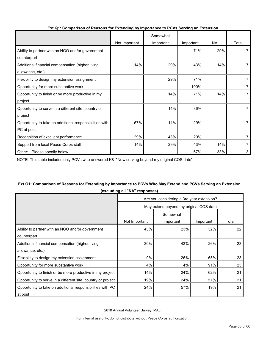|                                                         |               | Somewhat  |           |           |       |
|---------------------------------------------------------|---------------|-----------|-----------|-----------|-------|
|                                                         | Not Important | important | Important | <b>NA</b> | Total |
| Ability to partner with an NGO and/or government        |               |           | 71%       | 29%       |       |
| counterpart                                             |               |           |           |           |       |
| Additional financial compensation (higher living        | 14%           | 29%       | 43%       | 14%       |       |
| allowance, etc.)                                        |               |           |           |           |       |
| Flexibility to design my extension assignment           |               | 29%       | 71%       |           |       |
| Opportunity for more substantive work                   |               |           | 100%      |           |       |
| Opportunity to finish or be more productive in my       |               | 14%       | 71%       | 14%       |       |
| project                                                 |               |           |           |           |       |
| Opportunity to serve in a different site, country or    |               | 14%       | 86%       |           |       |
| project                                                 |               |           |           |           |       |
| Opportunity to take on additional responsibilities with | 57%           | 14%       | 29%       |           |       |
| PC at post                                              |               |           |           |           |       |
| Recognition of excellent performance                    | 29%           | 43%       | 29%       |           |       |
| Support from local Peace Corps staff                    | 14%           | 29%       | 43%       | 14%       |       |
| Other: Please specify below                             |               |           | 67%       | 33%       | 3     |

#### **Ext Q1: Comparison of Reasons for Extending by Importance to PCVs Serving an Extension**

NOTE: This table includes only PCVs who answered K8="Now serving beyond my original COS date"

#### **Ext Q1: Comparison of Reasons for Extending by Importance to PCVs Who May Extend and PCVs Serving an Extension (excluding all "NA" responses)**

|                                                              | Are you considering a 3rd year extension? |           |           |       |  |  |
|--------------------------------------------------------------|-------------------------------------------|-----------|-----------|-------|--|--|
|                                                              | May extend beyond my original COS date    |           |           |       |  |  |
|                                                              |                                           |           |           |       |  |  |
|                                                              | Not Important                             | important | Important | Total |  |  |
| Ability to partner with an NGO and/or government             | 45%                                       | 23%       | 32%       | 22    |  |  |
| counterpart                                                  |                                           |           |           |       |  |  |
| Additional financial compensation (higher living             | 30%                                       | 43%       | 26%       | 23    |  |  |
| allowance, etc.)                                             |                                           |           |           |       |  |  |
| Flexibility to design my extension assignment                | 9%                                        | 26%       | 65%       | 23    |  |  |
| Opportunity for more substantive work                        | 4%                                        | 4%        | 91%       | 23    |  |  |
| Opportunity to finish or be more productive in my project    | 14%                                       | 24%       | 62%       | 21    |  |  |
| Opportunity to serve in a different site, country or project | 19%                                       | 24%       | 57%       | 21    |  |  |
| Opportunity to take on additional responsibilities with PC   | 24%                                       | 57%       | 19%       | 21    |  |  |
| at post                                                      |                                           |           |           |       |  |  |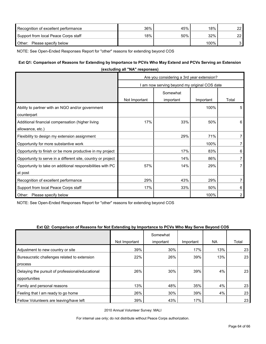| Recognition of excellent performance | 36% | 45% | 18%  | 22 |
|--------------------------------------|-----|-----|------|----|
| Support from local Peace Corps staff | 18% | 50% | 32%  | つつ |
| Other:<br>Please specify below       |     |     | 100% |    |

NOTE: See Open-Ended Responses Report for "other" reasons for extending beyond COS

#### **Ext Q1: Comparison of Reasons for Extending by Importance to PCVs Who May Extend and PCVs Serving an Extension**

|                                                                       | (excluding all NA responses)                 |           |           |                |  |  |
|-----------------------------------------------------------------------|----------------------------------------------|-----------|-----------|----------------|--|--|
|                                                                       | Are you considering a 3rd year extension?    |           |           |                |  |  |
|                                                                       | I am now serving beyond my original COS date |           |           |                |  |  |
|                                                                       |                                              | Somewhat  |           |                |  |  |
|                                                                       | Not Important                                | important | Important | Total          |  |  |
| Ability to partner with an NGO and/or government<br>counterpart       |                                              |           | 100%      | 5              |  |  |
| Additional financial compensation (higher living<br>allowance, etc.)  | 17%                                          | 33%       | 50%       | 6              |  |  |
| Flexibility to design my extension assignment                         |                                              | 29%       | 71%       | $\overline{7}$ |  |  |
| Opportunity for more substantive work                                 |                                              |           | 100%      | $\overline{7}$ |  |  |
| Opportunity to finish or be more productive in my project             |                                              | 17%       | 83%       | 6              |  |  |
| Opportunity to serve in a different site, country or project          |                                              | 14%       | 86%       | 7              |  |  |
| Opportunity to take on additional responsibilities with PC<br>at post | 57%                                          | 14%       | 29%       | $\overline{7}$ |  |  |
| Recognition of excellent performance                                  | 29%                                          | 43%       | 29%       | $\overline{7}$ |  |  |
| Support from local Peace Corps staff                                  | 17%                                          | 33%       | 50%       | 6              |  |  |
| Other: Please specify below                                           |                                              |           | 100%      | $\overline{2}$ |  |  |

**(excluding all "NA" responses)**

NOTE: See Open-Ended Responses Report for "other" reasons for extending beyond COS

#### **Ext Q2: Comparison of Reasons for Not Extending by Importance to PCVs Who May Serve Beyond COS**

|                                                  |               | Somewhat  |           |     |       |
|--------------------------------------------------|---------------|-----------|-----------|-----|-------|
|                                                  | Not Important | important | Important | NA. | Total |
| Adjustment to new country or site                | 39%           | 30%       | 17%       | 13% | 23    |
| Bureaucratic challenges related to extension     | 22%           | 26%       | 39%       | 13% | 23    |
| process                                          |               |           |           |     |       |
| Delaying the pursuit of professional/educational | 26%           | 30%       | 39%       | 4%  | 23    |
| opportunities                                    |               |           |           |     |       |
| Family and personal reasons                      | 13%           | 48%       | 35%       | 4%  | 23    |
| Feeling that I am ready to go home               | 26%           | 30%       | 39%       | 4%  | 23    |
| Fellow Volunteers are leaving/have left          | 39%           | 43%       | 17%       |     | 23    |

2010 Annual Volunteer Survey: MALI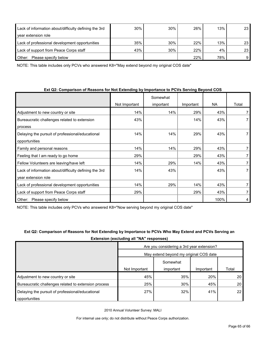| Lack of information about/difficulty defining the 3rd | 30% | 30% | 26% | 13% | 23 |
|-------------------------------------------------------|-----|-----|-----|-----|----|
| year extension role                                   |     |     |     |     |    |
| Lack of professional development opportunities        | 35% | 30% | 22% | 13% | 23 |
| Lack of support from Peace Corps staff                | 43% | 30% | 22% | 4%  | 23 |
| Please specify below<br>Other:                        |     |     | 22% | 78% | 9  |

NOTE: This table includes only PCVs who answered K8="May extend beyond my original COS date"

| Ext Q2: Comparison of Reasons for Not Extending by Importance to PCVs Serving Beyond COS |  |
|------------------------------------------------------------------------------------------|--|
|------------------------------------------------------------------------------------------|--|

|                                                       |               | Somewhat  |           |           |       |
|-------------------------------------------------------|---------------|-----------|-----------|-----------|-------|
|                                                       | Not Important | important | Important | <b>NA</b> | Total |
| Adjustment to new country or site                     | 14%           | 14%       | 29%       | 43%       |       |
| Bureaucratic challenges related to extension          | 43%           |           | 14%       | 43%       |       |
| process                                               |               |           |           |           |       |
| Delaying the pursuit of professional/educational      | 14%           | 14%       | 29%       | 43%       |       |
| opportunities                                         |               |           |           |           |       |
| Family and personal reasons                           | 14%           | 14%       | 29%       | 43%       |       |
| Feeling that I am ready to go home                    | 29%           |           | 29%       | 43%       |       |
| Fellow Volunteers are leaving/have left               | 14%           | 29%       | 14%       | 43%       |       |
| Lack of information about/difficulty defining the 3rd | 14%           | 43%       |           | 43%       |       |
| year extension role                                   |               |           |           |           |       |
| Lack of professional development opportunities        | 14%           | 29%       | 14%       | 43%       |       |
| Lack of support from Peace Corps staff                | 29%           |           | 29%       | 43%       |       |
| Please specify below<br>Other:                        |               |           |           | 100%      | 4     |

NOTE: This table includes only PCVs who answered K8="Now serving beyond my original COS date"

| <b>EXIGURION (CACIDANITY ON THE TURNSPONSUS)</b>     |                                           |                                        |           |       |  |
|------------------------------------------------------|-------------------------------------------|----------------------------------------|-----------|-------|--|
|                                                      | Are you considering a 3rd year extension? |                                        |           |       |  |
|                                                      |                                           | May extend beyond my original COS date |           |       |  |
|                                                      |                                           | Somewhat                               |           |       |  |
|                                                      | Not Important                             | important                              | Important | Total |  |
| Adjustment to new country or site                    | 45%                                       | 35%                                    | 20%       | 20    |  |
| Bureaucratic challenges related to extension process | 25%                                       | 30%                                    | 45%       | 20    |  |
| Delaying the pursuit of professional/educational     | 27%                                       | 32%                                    | 41%       | 22    |  |
| opportunities                                        |                                           |                                        |           |       |  |

#### **Ext Q2: Comparison of Reasons for Not Extending by Importance to PCVs Who May Extend and PCVs Serving an Extension (excluding all "NA" responses)**

2010 Annual Volunteer Survey: MALI